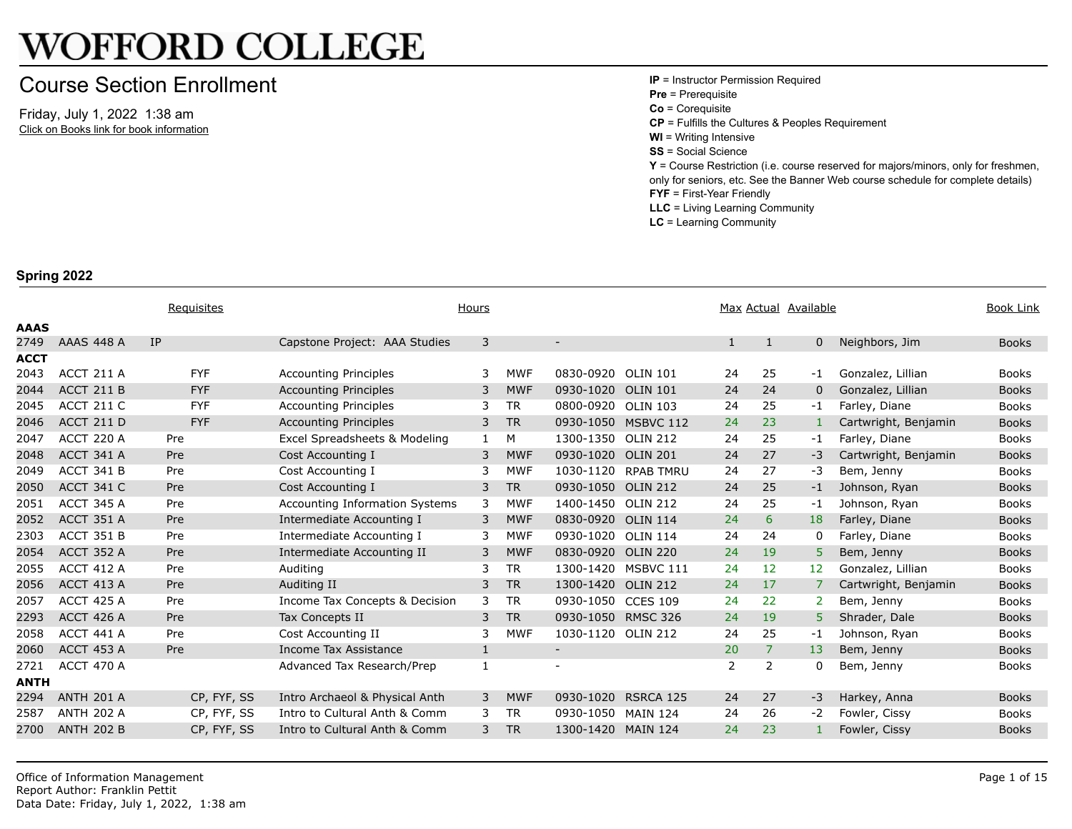## **WOFFORD COLLEGE**

## Course Section Enrollment

Friday, July 1, 2022 1:38 am Click on Books link for book information **IP** = Instructor Permission Required **Pre** = Prerequisite **Co** = Corequisite **CP** = Fulfills the Cultures & Peoples R **WI** = Writing Intensive **SS** = Social Science **Y** = Course Restriction (i.e. course re only for seniors, etc. See the Banner **FYF** = First-Year Friendly **LLC** = Living Learning Community **LC** = Learning Community

## **Spring 2022**

|             |                   | Requisites  | Hours                                 |   | Max Actual Availabl |                          |                     |              |                |                      |
|-------------|-------------------|-------------|---------------------------------------|---|---------------------|--------------------------|---------------------|--------------|----------------|----------------------|
| <b>AAAS</b> |                   |             |                                       |   |                     |                          |                     |              |                |                      |
| 2749        | <b>AAAS 448 A</b> | <b>IP</b>   | Capstone Project: AAA Studies         | 3 |                     |                          |                     | $\mathbf{1}$ | 1              | $\mathbf 0$          |
| <b>ACCT</b> |                   |             |                                       |   |                     |                          |                     |              |                |                      |
| 2043        | ACCT 211 A        | <b>FYF</b>  | <b>Accounting Principles</b>          | 3 | <b>MWF</b>          | 0830-0920                | <b>OLIN 101</b>     | 24           | 25             | $-1$                 |
| 2044        | ACCT 211 B        | <b>FYF</b>  | <b>Accounting Principles</b>          | 3 | <b>MWF</b>          | 0930-1020                | <b>OLIN 101</b>     | 24           | 24             | $\mathbf{0}$         |
| 2045        | <b>ACCT 211 C</b> | <b>FYF</b>  | <b>Accounting Principles</b>          | 3 | <b>TR</b>           | 0800-0920                | <b>OLIN 103</b>     | 24           | 25             | -1                   |
| 2046        | ACCT 211 D        | <b>FYF</b>  | <b>Accounting Principles</b>          | 3 | <b>TR</b>           |                          | 0930-1050 MSBVC 112 | 24           | 23             | $\mathbf{1}$         |
| 2047        | ACCT 220 A        | Pre         | Excel Spreadsheets & Modeling         | 1 | M                   | 1300-1350 OLIN 212       |                     | 24           | 25             | -1                   |
| 2048        | ACCT 341 A        | Pre         | Cost Accounting I                     | 3 | <b>MWF</b>          | 0930-1020 OLIN 201       |                     | 24           | 27             | $-3$                 |
| 2049        | ACCT 341 B        | Pre         | Cost Accounting I                     | 3 | <b>MWF</b>          |                          | 1030-1120 RPAB TMRU | 24           | 27             | $-3$                 |
| 2050        | <b>ACCT 341 C</b> | Pre         | Cost Accounting I                     | 3 | <b>TR</b>           | 0930-1050 OLIN 212       |                     | 24           | 25             | $-1$                 |
| 2051        | <b>ACCT 345 A</b> | Pre         | <b>Accounting Information Systems</b> | 3 | <b>MWF</b>          | 1400-1450 OLIN 212       |                     | 24           | 25             | $-1$                 |
| 2052        | <b>ACCT 351 A</b> | Pre         | Intermediate Accounting I             | 3 | <b>MWF</b>          | 0830-0920 OLIN 114       |                     | 24           | 6              | 18                   |
| 2303        | ACCT 351 B        | Pre         | Intermediate Accounting I             | 3 | <b>MWF</b>          | 0930-1020 OLIN 114       |                     | 24           | 24             | 0                    |
| 2054        | ACCT 352 A        | Pre         | Intermediate Accounting II            | 3 | <b>MWF</b>          | 0830-0920                | <b>OLIN 220</b>     | 24           | 19             | 5                    |
| 2055        | ACCT 412 A        | Pre         | Auditing                              | 3 | <b>TR</b>           | 1300-1420                | MSBVC 111           | 24           | 12             | 12 <sub>2</sub>      |
| 2056        | <b>ACCT 413 A</b> | Pre         | Auditing II                           | 3 | <b>TR</b>           | 1300-1420                | <b>OLIN 212</b>     | 24           | 17             | $\overline{7}$       |
| 2057        | ACCT 425 A        | Pre         | Income Tax Concepts & Decision        | 3 | <b>TR</b>           | 0930-1050 CCES 109       |                     | 24           | 22             | $\mathbf{2}^{\circ}$ |
| 2293        | <b>ACCT 426 A</b> | Pre         | Tax Concepts II                       | 3 | <b>TR</b>           | 0930-1050 RMSC 326       |                     | 24           | 19             | 5 <sup>1</sup>       |
| 2058        | ACCT 441 A        | Pre         | Cost Accounting II                    | 3 | <b>MWF</b>          | 1030-1120 OLIN 212       |                     | 24           | 25             | -1                   |
| 2060        | <b>ACCT 453 A</b> | Pre         | Income Tax Assistance                 | 1 |                     | $\overline{\phantom{a}}$ |                     | 20           | $\overline{7}$ | 13                   |
| 2721        | <b>ACCT 470 A</b> |             | Advanced Tax Research/Prep            | 1 |                     |                          |                     | 2            | 2              | $\mathbf{0}$         |
| <b>ANTH</b> |                   |             |                                       |   |                     |                          |                     |              |                |                      |
| 2294        | <b>ANTH 201 A</b> | CP, FYF, SS | Intro Archaeol & Physical Anth        | 3 | <b>MWF</b>          | 0930-1020                | RSRCA 125           | 24           | 27             | $-3$                 |
| 2587        | <b>ANTH 202 A</b> | CP, FYF, SS | Intro to Cultural Anth & Comm         | 3 | <b>TR</b>           | 0930-1050                | <b>MAIN 124</b>     | 24           | 26             | $-2$                 |
| 2700        | <b>ANTH 202 B</b> | CP, FYF, SS | Intro to Cultural Anth & Comm         | 3 | <b>TR</b>           | 1300-1420 MAIN 124       |                     | 24           | 23             | 1                    |
|             |                   |             |                                       |   |                     |                          |                     |              |                |                      |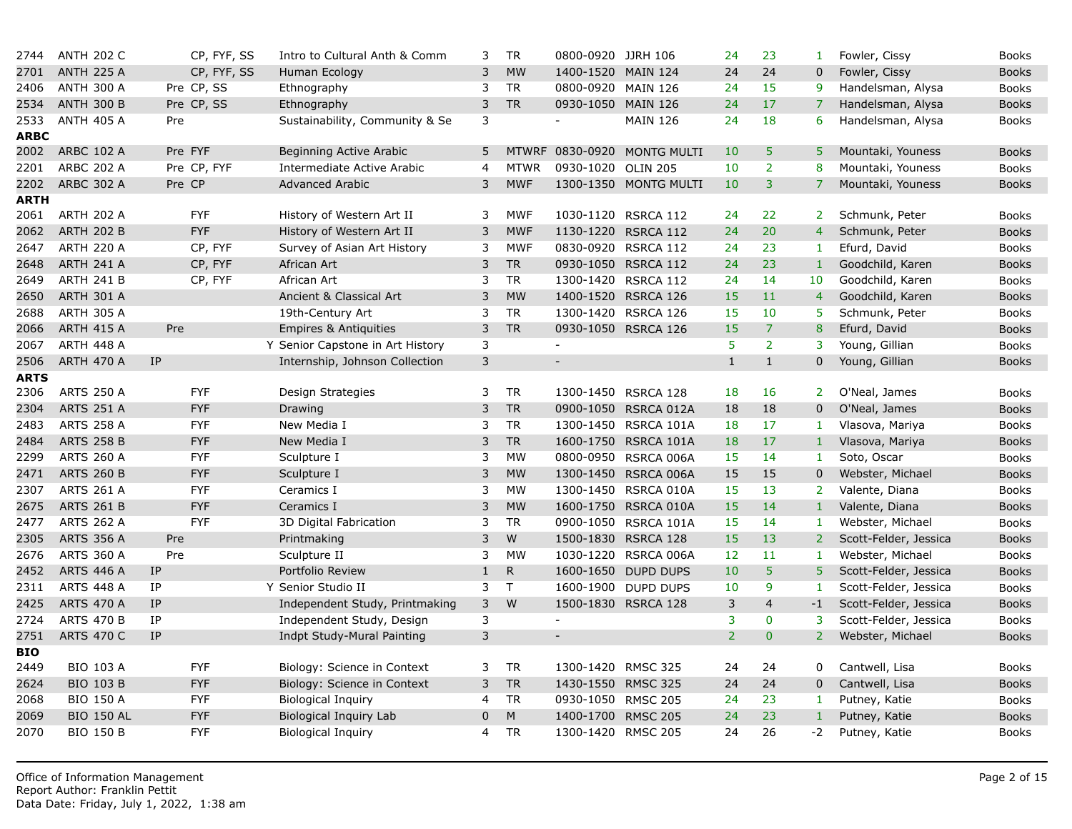| 2744        | <b>ANTH 202 C</b> | CP, FYF, SS                | Intro to Cultural Anth & Comm    | 3            | <b>TR</b>   | 0800-0920 JJRH 106       |                             | 24             | 23             | 1               |
|-------------|-------------------|----------------------------|----------------------------------|--------------|-------------|--------------------------|-----------------------------|----------------|----------------|-----------------|
| 2701        | <b>ANTH 225 A</b> | CP, FYF, SS                | Human Ecology                    | 3            | <b>MW</b>   | 1400-1520 MAIN 124       |                             | 24             | 24             | $\mathbf{0}$    |
| 2406        | <b>ANTH 300 A</b> | Pre CP, SS                 | Ethnography                      | 3            | <b>TR</b>   | 0800-0920                | <b>MAIN 126</b>             | 24             | 15             | 9               |
| 2534        | <b>ANTH 300 B</b> | Pre CP, SS                 | Ethnography                      | 3            | <b>TR</b>   | 0930-1050 MAIN 126       |                             | 24             | 17             | $\overline{7}$  |
| 2533        | <b>ANTH 405 A</b> | Pre                        | Sustainability, Community & Se   | 3            |             | $\blacksquare$           | <b>MAIN 126</b>             | 24             | 18             | 6               |
| <b>ARBC</b> |                   |                            |                                  |              |             |                          |                             |                |                |                 |
| 2002        | <b>ARBC 102 A</b> | Pre FYF                    | Beginning Active Arabic          | 5            |             |                          | MTWRF 0830-0920 MONTG MULTI | 10             | 5              | 5               |
| 2201        | <b>ARBC 202 A</b> | Pre CP, FYF                | Intermediate Active Arabic       | 4            | <b>MTWR</b> | 0930-1020 OLIN 205       |                             | 10             | $\overline{2}$ | 8               |
| 2202        | <b>ARBC 302 A</b> | Pre CP                     | <b>Advanced Arabic</b>           | 3            | <b>MWF</b>  |                          | 1300-1350 MONTG MULTI       | 10             | 3              | 7 <sup>1</sup>  |
| ARTH        |                   |                            |                                  |              |             |                          |                             |                |                |                 |
| 2061        | <b>ARTH 202 A</b> | <b>FYF</b>                 | History of Western Art II        | 3            | <b>MWF</b>  | 1030-1120                | RSRCA 112                   | 24             | 22             | $\overline{2}$  |
| 2062        | <b>ARTH 202 B</b> | <b>FYF</b>                 | History of Western Art II        | 3            | <b>MWF</b>  |                          | 1130-1220 RSRCA 112         | 24             | 20             | $\overline{4}$  |
| 2647        | <b>ARTH 220 A</b> | CP, FYF                    | Survey of Asian Art History      | 3            | <b>MWF</b>  | 0830-0920                | RSRCA 112                   | 24             | 23             | $\mathbf{1}$    |
| 2648        | <b>ARTH 241 A</b> | CP, FYF                    | African Art                      | 3            | <b>TR</b>   |                          | 0930-1050 RSRCA 112         | 24             | 23             | $\mathbf{1}$    |
| 2649        | <b>ARTH 241 B</b> | CP, FYF                    | African Art                      | 3            | <b>TR</b>   | 1300-1420                | RSRCA 112                   | 24             | 14             | 10 <sub>1</sub> |
| 2650        | <b>ARTH 301 A</b> |                            | Ancient & Classical Art          | 3            | <b>MW</b>   |                          | 1400-1520 RSRCA 126         | 15             | 11             | $\overline{4}$  |
| 2688        | <b>ARTH 305 A</b> |                            | 19th-Century Art                 | 3            | <b>TR</b>   |                          | 1300-1420 RSRCA 126         | 15             | 10             | 5               |
| 2066        | <b>ARTH 415 A</b> | Pre                        | <b>Empires &amp; Antiquities</b> | 3            | <b>TR</b>   |                          | 0930-1050 RSRCA 126         | 15             | $\overline{7}$ | 8               |
| 2067        | <b>ARTH 448 A</b> |                            | Y Senior Capstone in Art History | 3            |             | $\blacksquare$           |                             | 5              | $\overline{2}$ | 3               |
| 2506        | <b>ARTH 470 A</b> | IP                         | Internship, Johnson Collection   | 3            |             | $\overline{\phantom{a}}$ |                             | $\mathbf{1}$   | $1\,$          | $\overline{0}$  |
| ARTS        |                   |                            |                                  |              |             |                          |                             |                |                |                 |
| 2306        | <b>ARTS 250 A</b> | <b>FYF</b>                 | Design Strategies                | 3            | <b>TR</b>   |                          | 1300-1450 RSRCA 128         | 18             | 16             | 2 <sup>1</sup>  |
| 2304        | <b>ARTS 251 A</b> | <b>FYF</b>                 | Drawing                          | 3            | <b>TR</b>   |                          | 0900-1050 RSRCA 012A        | 18             | 18             | $\mathbf 0$     |
| 2483        | <b>ARTS 258 A</b> | <b>FYF</b>                 | New Media I                      | 3            | <b>TR</b>   |                          | 1300-1450 RSRCA 101A        | 18             | 17             | 1               |
| 2484        | <b>ARTS 258 B</b> | <b>FYF</b>                 | New Media I                      | 3            | <b>TR</b>   | 1600-1750                | RSRCA 101A                  | 18             | 17             | $\mathbf{1}$    |
| 2299        | <b>ARTS 260 A</b> | <b>FYF</b>                 | Sculpture I                      | 3            | <b>MW</b>   |                          | 0800-0950 RSRCA 006A        | 15             | 14             | 1               |
| 2471        | <b>ARTS 260 B</b> | <b>FYF</b>                 | Sculpture I                      | 3            | <b>MW</b>   | 1300-1450                | RSRCA 006A                  | 15             | 15             | $\mathbf 0$     |
| 2307        | <b>ARTS 261 A</b> | <b>FYF</b>                 | Ceramics I                       | 3            | <b>MW</b>   |                          | 1300-1450 RSRCA 010A        | 15             | 13             | $\overline{2}$  |
| 2675        | <b>ARTS 261 B</b> | <b>FYF</b>                 | Ceramics I                       | 3            | <b>MW</b>   | 1600-1750                | RSRCA 010A                  | 15             | 14             | $\mathbf{1}$    |
| 2477        | <b>ARTS 262 A</b> | <b>FYF</b>                 | 3D Digital Fabrication           | 3            | <b>TR</b>   |                          | 0900-1050 RSRCA 101A        | 15             | 14             | $\mathbf{1}$    |
| 2305        | <b>ARTS 356 A</b> | Pre                        | Printmaking                      | 3            | W           | 1500-1830                | RSRCA 128                   | 15             | 13             | $\overline{2}$  |
| 2676        | <b>ARTS 360 A</b> | Pre                        | Sculpture II                     | 3            | <b>MW</b>   | 1030-1220                | RSRCA 006A                  | 12             | 11             | 1               |
| 2452        | <b>ARTS 446 A</b> | $\ensuremath{\mathsf{IP}}$ | Portfolio Review                 | $1\,$        | ${\sf R}$   | 1600-1650                | <b>DUPD DUPS</b>            | 10             | 5              | 5 <sup>1</sup>  |
| 2311        | <b>ARTS 448 A</b> | IP                         | Y Senior Studio II               | 3            | T           |                          | 1600-1900 DUPD DUPS         | 10             | 9              | $\mathbf{1}$    |
| 2425        | <b>ARTS 470 A</b> | <b>IP</b>                  | Independent Study, Printmaking   | 3            | W           |                          | 1500-1830 RSRCA 128         | 3              | $\overline{4}$ | $-1$            |
| 2724        | <b>ARTS 470 B</b> | IP                         | Independent Study, Design        | 3            |             | $\overline{\phantom{a}}$ |                             | 3              | $\bf{0}$       | 3               |
| 2751        | <b>ARTS 470 C</b> | <b>IP</b>                  | Indpt Study-Mural Painting       | 3            |             | $\sim$                   |                             | $\overline{2}$ | $\overline{0}$ | 2 <sup>1</sup>  |
| <b>BIO</b>  |                   |                            |                                  |              |             |                          |                             |                |                |                 |
| 2449        | <b>BIO 103 A</b>  | <b>FYF</b>                 | Biology: Science in Context      | 3            | <b>TR</b>   | 1300-1420 RMSC 325       |                             | 24             | 24             | $\mathbf 0$     |
| 2624        | <b>BIO 103 B</b>  | <b>FYF</b>                 | Biology: Science in Context      | 3            | ${\sf TR}$  | 1430-1550 RMSC 325       |                             | 24             | 24             | $\mathbf 0$     |
| 2068        | <b>BIO 150 A</b>  | <b>FYF</b>                 | <b>Biological Inquiry</b>        | 4            | <b>TR</b>   | 0930-1050 RMSC 205       |                             | 24             | 23             | 1               |
| 2069        | <b>BIO 150 AL</b> | <b>FYF</b>                 | Biological Inquiry Lab           | $\mathbf{0}$ | ${\sf M}$   | 1400-1700 RMSC 205       |                             | 24             | 23             | $\,1\,$         |
| 2070        | <b>BIO 150 B</b>  | <b>FYF</b>                 | <b>Biological Inquiry</b>        | 4            | <b>TR</b>   | 1300-1420 RMSC 205       |                             | 24             | 26             | $-2$            |
|             |                   |                            |                                  |              |             |                          |                             |                |                |                 |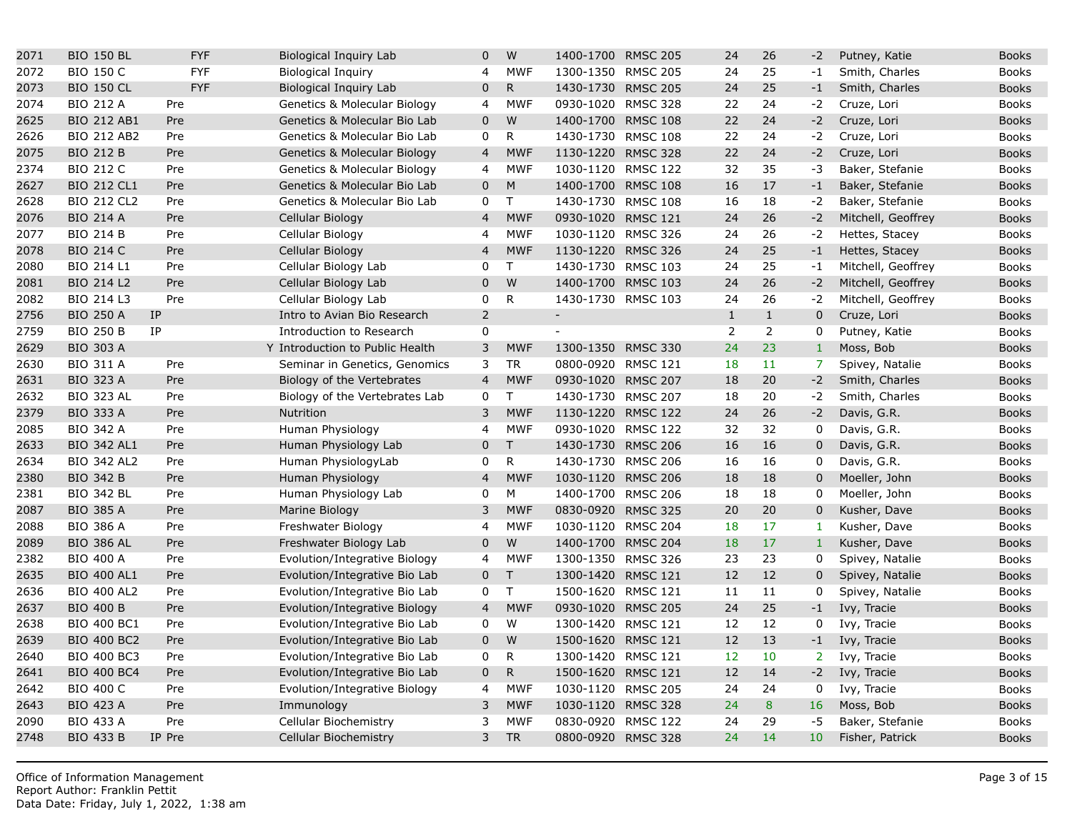| 2071 | <b>BIO 150 BL</b>  |           | <b>FYF</b> | Biological Inquiry Lab                  | $\mathbf{0}$   | W            | 1400-1700 RMSC 205 |                 | 24             | 26               | $-2$            |
|------|--------------------|-----------|------------|-----------------------------------------|----------------|--------------|--------------------|-----------------|----------------|------------------|-----------------|
| 2072 | <b>BIO 150 C</b>   |           | <b>FYF</b> | <b>Biological Inquiry</b>               | 4              | <b>MWF</b>   | 1300-1350 RMSC 205 |                 | 24             | 25               | $-1$            |
| 2073 | <b>BIO 150 CL</b>  |           | <b>FYF</b> | <b>Biological Inquiry Lab</b>           | $\mathbf{0}$   | $\mathsf{R}$ | 1430-1730 RMSC 205 |                 | 24             | 25               | $-1$            |
| 2074 | <b>BIO 212 A</b>   | Pre       |            | <b>Genetics &amp; Molecular Biology</b> | 4              | <b>MWF</b>   | 0930-1020 RMSC 328 |                 | 22             | 24               | $-2$            |
| 2625 | <b>BIO 212 AB1</b> | Pre       |            | Genetics & Molecular Bio Lab            | $\mathbf 0$    | W            | 1400-1700          | <b>RMSC 108</b> | 22             | 24               | $-2$            |
| 2626 | <b>BIO 212 AB2</b> | Pre       |            | Genetics & Molecular Bio Lab            | 0              | $\mathsf{R}$ | 1430-1730 RMSC 108 |                 | 22             | 24               | $-2$            |
| 2075 | <b>BIO 212 B</b>   | Pre       |            | Genetics & Molecular Biology            | $\overline{4}$ | <b>MWF</b>   | 1130-1220          | <b>RMSC 328</b> | 22             | 24               | $-2$            |
| 2374 | <b>BIO 212 C</b>   | Pre       |            | Genetics & Molecular Biology            | 4              | <b>MWF</b>   | 1030-1120 RMSC 122 |                 | 32             | 35               | $-3$            |
| 2627 | <b>BIO 212 CL1</b> | Pre       |            | Genetics & Molecular Bio Lab            | $\pmb{0}$      | M            | 1400-1700          | <b>RMSC 108</b> | 16             | 17               | $-1$            |
| 2628 | <b>BIO 212 CL2</b> | Pre       |            | Genetics & Molecular Bio Lab            | 0              | $\mathsf{T}$ | 1430-1730 RMSC 108 |                 | 16             | 18               | $-2$            |
| 2076 | <b>BIO 214 A</b>   | Pre       |            | Cellular Biology                        | $\overline{4}$ | <b>MWF</b>   | 0930-1020 RMSC 121 |                 | 24             | 26               | $-2$            |
| 2077 | <b>BIO 214 B</b>   | Pre       |            | Cellular Biology                        | $\overline{4}$ | <b>MWF</b>   | 1030-1120 RMSC 326 |                 | 24             | 26               | $-2$            |
| 2078 | <b>BIO 214 C</b>   | Pre       |            | Cellular Biology                        | $\overline{4}$ | <b>MWF</b>   | 1130-1220          | <b>RMSC 326</b> | 24             | 25               | $-1$            |
| 2080 | <b>BIO 214 L1</b>  | Pre       |            | Cellular Biology Lab                    | 0              | T            | 1430-1730          | <b>RMSC 103</b> | 24             | 25               | $-1$            |
| 2081 | <b>BIO 214 L2</b>  | Pre       |            | Cellular Biology Lab                    | $\mathbf 0$    | W            | 1400-1700 RMSC 103 |                 | 24             | 26               | $-2$            |
| 2082 | <b>BIO 214 L3</b>  | Pre       |            | Cellular Biology Lab                    | 0              | $\mathsf{R}$ | 1430-1730 RMSC 103 |                 | 24             | 26               | $-2$            |
| 2756 | <b>BIO 250 A</b>   | <b>IP</b> |            | Intro to Avian Bio Research             | $\overline{2}$ |              | $\equiv$           |                 | $\mathbf{1}$   | $\,1\,$          | $\overline{0}$  |
| 2759 | <b>BIO 250 B</b>   | <b>IP</b> |            | Introduction to Research                | $\mathbf 0$    |              | $\blacksquare$     |                 | $\overline{2}$ | $\overline{2}$   | 0               |
| 2629 | <b>BIO 303 A</b>   |           |            | Y Introduction to Public Health         | 3              | <b>MWF</b>   | 1300-1350          | <b>RMSC 330</b> | 24             | 23               | $\mathbf{1}$    |
| 2630 | <b>BIO 311 A</b>   | Pre       |            | Seminar in Genetics, Genomics           | 3              | <b>TR</b>    | 0800-0920 RMSC 121 |                 | 18             | 11               | $\overline{7}$  |
| 2631 | <b>BIO 323 A</b>   | Pre       |            | Biology of the Vertebrates              | $\overline{4}$ | <b>MWF</b>   | 0930-1020          | <b>RMSC 207</b> | 18             | 20               | $-2$            |
| 2632 | <b>BIO 323 AL</b>  | Pre       |            | Biology of the Vertebrates Lab          | 0              | T            | 1430-1730 RMSC 207 |                 | 18             | 20               | $-2$            |
| 2379 | <b>BIO 333 A</b>   | Pre       |            | Nutrition                               | 3              | <b>MWF</b>   | 1130-1220          | <b>RMSC 122</b> | 24             | 26               | $-2$            |
| 2085 | <b>BIO 342 A</b>   | Pre       |            | Human Physiology                        | 4              | <b>MWF</b>   | 0930-1020          | <b>RMSC 122</b> | 32             | 32               | $\mathbf 0$     |
| 2633 | <b>BIO 342 AL1</b> | Pre       |            | Human Physiology Lab                    | $\mathbf 0$    | $\top$       | 1430-1730          | <b>RMSC 206</b> | 16             | 16               | $\mathbf 0$     |
| 2634 | <b>BIO 342 AL2</b> | Pre       |            | Human PhysiologyLab                     | 0              | $\mathsf{R}$ | 1430-1730 RMSC 206 |                 | 16             | 16               | 0               |
| 2380 | <b>BIO 342 B</b>   | Pre       |            | Human Physiology                        | $\overline{4}$ | <b>MWF</b>   | 1030-1120          | <b>RMSC 206</b> | 18             | 18               | $\mathbf 0$     |
| 2381 | <b>BIO 342 BL</b>  | Pre       |            | Human Physiology Lab                    | 0              | M            | 1400-1700 RMSC 206 |                 | 18             | 18               | 0               |
| 2087 | <b>BIO 385 A</b>   | Pre       |            | Marine Biology                          | 3              | <b>MWF</b>   | 0830-0920 RMSC 325 |                 | 20             | 20               | $\mathbf 0$     |
| 2088 | <b>BIO 386 A</b>   | Pre       |            | Freshwater Biology                      | 4              | <b>MWF</b>   | 1030-1120 RMSC 204 |                 | 18             | 17               | $\mathbf{1}$    |
| 2089 | <b>BIO 386 AL</b>  | Pre       |            | Freshwater Biology Lab                  | $\mathbf 0$    | W            | 1400-1700 RMSC 204 |                 | 18             | 17               | $\mathbf{1}$    |
| 2382 | <b>BIO 400 A</b>   | Pre       |            | Evolution/Integrative Biology           | $\overline{4}$ | <b>MWF</b>   | 1300-1350          | <b>RMSC 326</b> | 23             | 23               | 0               |
| 2635 | <b>BIO 400 AL1</b> | Pre       |            | Evolution/Integrative Bio Lab           | $\mathbf 0$    | $\mathsf T$  | 1300-1420 RMSC 121 |                 | 12             | 12               | 0               |
| 2636 | <b>BIO 400 AL2</b> | Pre       |            | Evolution/Integrative Bio Lab           | 0              | $\mathsf{T}$ | 1500-1620          | <b>RMSC 121</b> | 11             | 11               | $\mathbf 0$     |
| 2637 | <b>BIO 400 B</b>   | Pre       |            | Evolution/Integrative Biology           | $\overline{4}$ | <b>MWF</b>   | 0930-1020          | <b>RMSC 205</b> | 24             | 25               | $-1$            |
| 2638 | <b>BIO 400 BC1</b> | Pre       |            | Evolution/Integrative Bio Lab           | 0              | W            | 1300-1420 RMSC 121 |                 | 12             | 12               | 0               |
| 2639 | <b>BIO 400 BC2</b> | Pre       |            | Evolution/Integrative Bio Lab           | $\mathbf 0$    | W            | 1500-1620          | <b>RMSC 121</b> | 12             | 13               | $-1$            |
| 2640 | <b>BIO 400 BC3</b> | Pre       |            | Evolution/Integrative Bio Lab           | 0              | $\mathsf{R}$ | 1300-1420 RMSC 121 |                 | 12             | 10               | 2 <sup>7</sup>  |
| 2641 | <b>BIO 400 BC4</b> | Pre       |            | Evolution/Integrative Bio Lab           | $\mathbf 0$    | $\mathsf{R}$ | 1500-1620          | <b>RMSC 121</b> | 12             | 14               | $-2$            |
| 2642 | <b>BIO 400 C</b>   | Pre       |            | Evolution/Integrative Biology           | 4              | <b>MWF</b>   | 1030-1120 RMSC 205 |                 | 24             | 24               | $\mathbf 0$     |
| 2643 | <b>BIO 423 A</b>   | Pre       |            | Immunology                              | 3              | <b>MWF</b>   | 1030-1120          | <b>RMSC 328</b> | 24             | $\boldsymbol{8}$ | 16              |
| 2090 | <b>BIO 433 A</b>   | Pre       |            | Cellular Biochemistry                   | 3              | <b>MWF</b>   | 0830-0920          | <b>RMSC 122</b> | 24             | 29               | $-5$            |
| 2748 | <b>BIO 433 B</b>   | IP Pre    |            | <b>Cellular Biochemistry</b>            | 3              | <b>TR</b>    | 0800-0920 RMSC 328 |                 | 24             | 14               | 10 <sup>°</sup> |
|      |                    |           |            |                                         |                |              |                    |                 |                |                  |                 |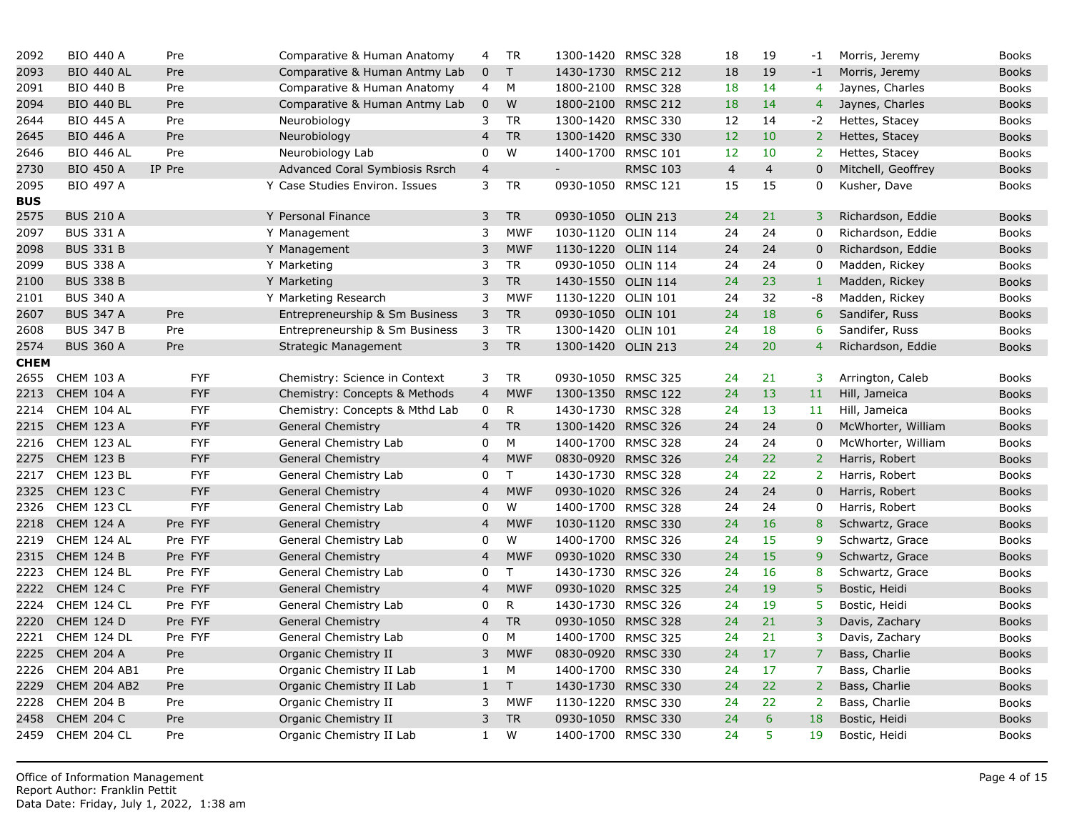| 2092        | <b>BIO 440 A</b>    | Pre        | Comparative & Human Anatomy    | 4              | <b>TR</b>    | 1300-1420 RMSC 328       |                 | 18              | 19             | $-1$           |
|-------------|---------------------|------------|--------------------------------|----------------|--------------|--------------------------|-----------------|-----------------|----------------|----------------|
| 2093        | <b>BIO 440 AL</b>   | Pre        | Comparative & Human Antmy Lab  | $\mathbf 0$    | $\mathsf{T}$ | 1430-1730 RMSC 212       |                 | 18              | 19             | $-1$           |
| 2091        | <b>BIO 440 B</b>    | Pre        | Comparative & Human Anatomy    | 4              | М            | 1800-2100 RMSC 328       |                 | 18              | 14             | $\overline{4}$ |
| 2094        | <b>BIO 440 BL</b>   | Pre        | Comparative & Human Antmy Lab  | $\mathbf 0$    | W            | 1800-2100 RMSC 212       |                 | 18              | 14             | $\overline{4}$ |
| 2644        | <b>BIO 445 A</b>    | Pre        | Neurobiology                   | 3              | <b>TR</b>    | 1300-1420 RMSC 330       |                 | 12              | 14             | $-2$           |
| 2645        | <b>BIO 446 A</b>    | Pre        | Neurobiology                   | $\overline{4}$ | <b>TR</b>    | 1300-1420 RMSC 330       |                 | 12 <sup>2</sup> | 10             | 2 <sup>1</sup> |
| 2646        | <b>BIO 446 AL</b>   | Pre        | Neurobiology Lab               | $\Omega$       | W            | 1400-1700 RMSC 101       |                 | 12              | 10             | 2 <sup>1</sup> |
| 2730        | <b>BIO 450 A</b>    | IP Pre     | Advanced Coral Symbiosis Rsrch | $\overline{4}$ |              | $\overline{\phantom{0}}$ | <b>RMSC 103</b> | $\overline{4}$  | $\overline{4}$ | $\mathbf 0$    |
| 2095        | <b>BIO 497 A</b>    |            | Y Case Studies Environ. Issues | 3              | <b>TR</b>    | 0930-1050 RMSC 121       |                 | 15              | 15             | $\mathbf 0$    |
| <b>BUS</b>  |                     |            |                                |                |              |                          |                 |                 |                |                |
| 2575        | <b>BUS 210 A</b>    |            | Y Personal Finance             | 3              | <b>TR</b>    | 0930-1050 OLIN 213       |                 | 24              | 21             | 3 <sup>1</sup> |
| 2097        | <b>BUS 331 A</b>    |            | Y Management                   | 3              | <b>MWF</b>   | 1030-1120 OLIN 114       |                 | 24              | 24             | $\mathbf 0$    |
| 2098        | <b>BUS 331 B</b>    |            | Y Management                   | 3              | <b>MWF</b>   | 1130-1220 OLIN 114       |                 | 24              | 24             | $\mathbf 0$    |
| 2099        | <b>BUS 338 A</b>    |            | Y Marketing                    | 3              | <b>TR</b>    | 0930-1050 OLIN 114       |                 | 24              | 24             | 0              |
| 2100        | <b>BUS 338 B</b>    |            | Y Marketing                    | 3              | ${\sf TR}$   | 1430-1550 OLIN 114       |                 | 24              | 23             | $1\,$          |
| 2101        | <b>BUS 340 A</b>    |            | Y Marketing Research           | 3              | <b>MWF</b>   | 1130-1220 OLIN 101       |                 | 24              | 32             | $-8$           |
| 2607        | <b>BUS 347 A</b>    | Pre        | Entrepreneurship & Sm Business | 3              | <b>TR</b>    | 0930-1050 OLIN 101       |                 | 24              | 18             | $\overline{6}$ |
| 2608        | <b>BUS 347 B</b>    | Pre        | Entrepreneurship & Sm Business | 3              | <b>TR</b>    | 1300-1420 OLIN 101       |                 | 24              | 18             | 6              |
| 2574        | <b>BUS 360 A</b>    | Pre        | <b>Strategic Management</b>    | 3              | <b>TR</b>    | 1300-1420 OLIN 213       |                 | 24              | 20             | $\overline{4}$ |
| <b>CHEM</b> |                     |            |                                |                |              |                          |                 |                 |                |                |
| 2655        | <b>CHEM 103 A</b>   | <b>FYF</b> | Chemistry: Science in Context  | 3              | TR           | 0930-1050 RMSC 325       |                 | 24              | 21             | 3 <sup>1</sup> |
| 2213        | <b>CHEM 104 A</b>   | <b>FYF</b> | Chemistry: Concepts & Methods  | $\overline{4}$ | <b>MWF</b>   | 1300-1350 RMSC 122       |                 | 24              | 13             | 11             |
| 2214        | CHEM 104 AL         | <b>FYF</b> | Chemistry: Concepts & Mthd Lab | $\mathbf 0$    | ${\sf R}$    | 1430-1730 RMSC 328       |                 | 24              | 13             | 11             |
| 2215        | <b>CHEM 123 A</b>   | <b>FYF</b> | <b>General Chemistry</b>       | $\overline{4}$ | <b>TR</b>    | 1300-1420 RMSC 326       |                 | 24              | 24             | $\overline{0}$ |
| 2216        | CHEM 123 AL         | <b>FYF</b> | General Chemistry Lab          | 0              | М            | 1400-1700 RMSC 328       |                 | 24              | 24             | 0              |
| 2275        | CHEM 123 B          | <b>FYF</b> | <b>General Chemistry</b>       | $\overline{4}$ | <b>MWF</b>   | 0830-0920                | <b>RMSC 326</b> | 24              | 22             | 2 <sup>1</sup> |
| 2217        | CHEM 123 BL         | <b>FYF</b> | General Chemistry Lab          | 0              | $\mathsf{T}$ | 1430-1730 RMSC 328       |                 | 24              | 22             | $2^{\circ}$    |
| 2325        | <b>CHEM 123 C</b>   | <b>FYF</b> | <b>General Chemistry</b>       | $\overline{4}$ | <b>MWF</b>   | 0930-1020 RMSC 326       |                 | 24              | 24             | $\overline{0}$ |
| 2326        | CHEM 123 CL         | <b>FYF</b> | General Chemistry Lab          | 0              | W            | 1400-1700 RMSC 328       |                 | 24              | 24             | 0              |
| 2218        | CHEM 124 A          | Pre FYF    | <b>General Chemistry</b>       | $\overline{4}$ | <b>MWF</b>   | 1030-1120 RMSC 330       |                 | 24              | 16             | $\bf{8}$       |
| 2219        | CHEM 124 AL         | Pre FYF    | General Chemistry Lab          | 0              | W            | 1400-1700 RMSC 326       |                 | 24              | 15             | 9              |
| 2315        | <b>CHEM 124 B</b>   | Pre FYF    | <b>General Chemistry</b>       | $\overline{4}$ | <b>MWF</b>   | 0930-1020 RMSC 330       |                 | 24              | 15             | 9 <sup>°</sup> |
| 2223        | CHEM 124 BL         | Pre FYF    | General Chemistry Lab          | 0              | T.           | 1430-1730 RMSC 326       |                 | 24              | 16             | 8              |
| 2222        | <b>CHEM 124 C</b>   | Pre FYF    | <b>General Chemistry</b>       | $\overline{4}$ | <b>MWF</b>   | 0930-1020 RMSC 325       |                 | 24              | 19             | 5 <sup>1</sup> |
| 2224        | CHEM 124 CL         | Pre FYF    | General Chemistry Lab          | 0              | R            | 1430-1730 RMSC 326       |                 | 24              | 19             | $\overline{5}$ |
| 2220        | CHEM 124 D          | Pre FYF    | <b>General Chemistry</b>       | $\overline{a}$ | <b>TR</b>    | 0930-1050 RMSC 328       |                 | 24              | 21             | 3              |
| 2221        | CHEM 124 DL         | Pre FYF    | General Chemistry Lab          | 0              | M            | 1400-1700 RMSC 325       |                 | 24              | 21             | $\overline{3}$ |
| 2225        | <b>CHEM 204 A</b>   | Pre        | Organic Chemistry II           | 3              | <b>MWF</b>   | 0830-0920 RMSC 330       |                 | 24              | 17             | $\overline{7}$ |
| 2226        | <b>CHEM 204 AB1</b> | Pre        | Organic Chemistry II Lab       | 1              | M            | 1400-1700 RMSC 330       |                 | 24              | 17             | $\overline{7}$ |
| 2229        | CHEM 204 AB2        | Pre        | Organic Chemistry II Lab       | $\mathbf{1}$   | T            | 1430-1730 RMSC 330       |                 | 24              | 22             | $\overline{2}$ |
| 2228        | CHEM 204 B          | Pre        | Organic Chemistry II           | 3              | <b>MWF</b>   | 1130-1220                | <b>RMSC 330</b> | 24              | 22             | 2 <sup>7</sup> |
| 2458        | <b>CHEM 204 C</b>   | Pre        | Organic Chemistry II           | 3              | <b>TR</b>    | 0930-1050 RMSC 330       |                 | 24              | 6              | 18             |
| 2459        | CHEM 204 CL         | Pre        | Organic Chemistry II Lab       | $\mathbf{1}$   | W            | 1400-1700 RMSC 330       |                 | 24              | 5              | 19             |
|             |                     |            |                                |                |              |                          |                 |                 |                |                |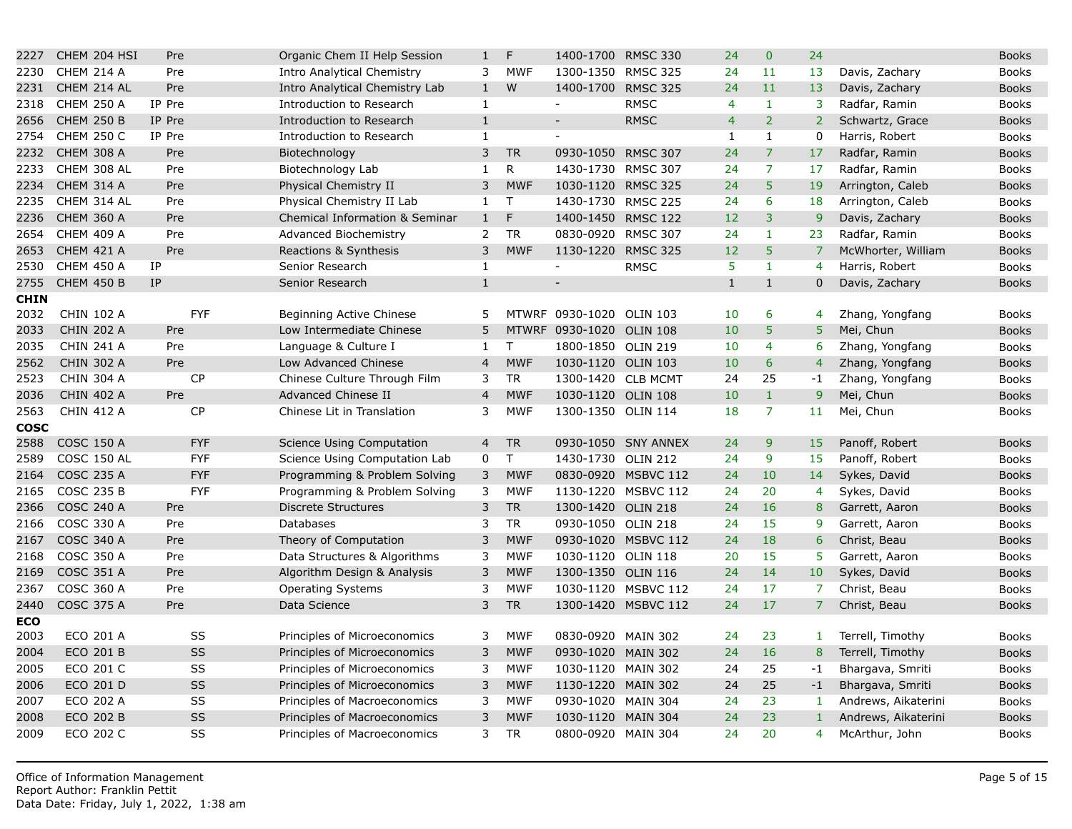| 2227        | CHEM 204 HSI      |           | Pre        | Organic Chem II Help Session   | $\mathbf{1}$   | F            | 1400-1700                | <b>RMSC 330</b>     | 24             | $\mathbf{0}$    | 24              |
|-------------|-------------------|-----------|------------|--------------------------------|----------------|--------------|--------------------------|---------------------|----------------|-----------------|-----------------|
| 2230        | CHEM 214 A        |           | Pre        | Intro Analytical Chemistry     | 3              | <b>MWF</b>   | 1300-1350                | <b>RMSC 325</b>     | 24             | 11              | 13              |
| 2231        | CHEM 214 AL       |           | Pre        | Intro Analytical Chemistry Lab | $\mathbf{1}$   | W            | 1400-1700                | <b>RMSC 325</b>     | 24             | 11              | 13              |
| 2318        | <b>CHEM 250 A</b> | IP Pre    |            | Introduction to Research       | $\mathbf{1}$   |              | $\blacksquare$           | <b>RMSC</b>         | 4              | $\mathbf{1}$    | 3               |
| 2656        | <b>CHEM 250 B</b> | IP Pre    |            | Introduction to Research       | $\mathbf 1$    |              | $\overline{\phantom{0}}$ | <b>RMSC</b>         | $\overline{4}$ | $\overline{2}$  | 2 <sup>1</sup>  |
| 2754        | <b>CHEM 250 C</b> | IP Pre    |            | Introduction to Research       | $\mathbf{1}$   |              |                          |                     | $\mathbf{1}$   | $\mathbf{1}$    | $\mathbf 0$     |
| 2232        | <b>CHEM 308 A</b> |           | Pre        | Biotechnology                  | 3              | <b>TR</b>    | 0930-1050 RMSC 307       |                     | 24             | $\overline{7}$  | 17              |
| 2233        | CHEM 308 AL       |           | Pre        | Biotechnology Lab              | $\mathbf{1}$   | R            | 1430-1730 RMSC 307       |                     | 24             | $\overline{7}$  | 17              |
| 2234        | <b>CHEM 314 A</b> |           | Pre        | Physical Chemistry II          | 3              | <b>MWF</b>   | 1030-1120 RMSC 325       |                     | 24             | 5               | 19              |
| 2235        | CHEM 314 AL       |           | Pre        | Physical Chemistry II Lab      | $\mathbf{1}$   | $\mathsf{T}$ | 1430-1730 RMSC 225       |                     | 24             | 6               | 18              |
| 2236        | <b>CHEM 360 A</b> |           | Pre        | Chemical Information & Seminar | $1\,$          | F            | 1400-1450 RMSC 122       |                     | 12             | 3               | $\overline{9}$  |
| 2654        | <b>CHEM 409 A</b> |           | Pre        | <b>Advanced Biochemistry</b>   | 2              | <b>TR</b>    | 0830-0920                | <b>RMSC 307</b>     | 24             | $\mathbf{1}$    | 23              |
| 2653        | <b>CHEM 421 A</b> |           | Pre        | Reactions & Synthesis          | 3              | <b>MWF</b>   | 1130-1220 RMSC 325       |                     | 12             | 5               | $\overline{7}$  |
| 2530        | CHEM 450 A        | <b>IP</b> |            | Senior Research                | $\mathbf{1}$   |              | $\overline{\phantom{0}}$ | <b>RMSC</b>         | 5              | $\mathbf{1}$    | $\overline{4}$  |
| 2755        | <b>CHEM 450 B</b> | <b>IP</b> |            | Senior Research                | $\mathbf{1}$   |              | $\overline{\phantom{0}}$ |                     | $\mathbf{1}$   | $\mathbf{1}$    | $\overline{0}$  |
| <b>CHIN</b> |                   |           |            |                                |                |              |                          |                     |                |                 |                 |
| 2032        | <b>CHIN 102 A</b> |           | <b>FYF</b> | Beginning Active Chinese       | 5              |              | MTWRF 0930-1020 OLIN 103 |                     | 10             | 6               | 4               |
| 2033        | <b>CHIN 202 A</b> |           | Pre        | Low Intermediate Chinese       | 5              |              | MTWRF 0930-1020 OLIN 108 |                     | 10             | 5               | 5               |
| 2035        | <b>CHIN 241 A</b> |           | Pre        | Language & Culture I           | $\mathbf{1}$   | $\mathsf{T}$ | 1800-1850 OLIN 219       |                     | 10             | $\overline{4}$  | 6               |
| 2562        | <b>CHIN 302 A</b> |           | <b>Pre</b> | Low Advanced Chinese           | $\overline{4}$ | <b>MWF</b>   | 1030-1120 OLIN 103       |                     | 10             | $6\overline{6}$ | $\overline{4}$  |
| 2523        | <b>CHIN 304 A</b> |           | CP         | Chinese Culture Through Film   | 3              | <b>TR</b>    | 1300-1420 CLB MCMT       |                     | 24             | 25              | $-1$            |
| 2036        | <b>CHIN 402 A</b> |           | Pre        | Advanced Chinese II            | $\overline{4}$ | <b>MWF</b>   | 1030-1120 OLIN 108       |                     | 10             | $\mathbf{1}$    | 9               |
| 2563        | <b>CHIN 412 A</b> |           | <b>CP</b>  | Chinese Lit in Translation     | 3              | <b>MWF</b>   | 1300-1350 OLIN 114       |                     | 18             | $\overline{7}$  | 11 <sup>1</sup> |
| <b>COSC</b> |                   |           |            |                                |                |              |                          |                     |                |                 |                 |
| 2588        | <b>COSC 150 A</b> |           | <b>FYF</b> | Science Using Computation      | 4              | <b>TR</b>    |                          | 0930-1050 SNY ANNEX | 24             | 9               | 15              |
| 2589        | COSC 150 AL       |           | <b>FYF</b> | Science Using Computation Lab  | 0              | $\mathsf T$  | 1430-1730 OLIN 212       |                     | 24             | 9               | 15              |
| 2164        | <b>COSC 235 A</b> |           | <b>FYF</b> | Programming & Problem Solving  | 3              | <b>MWF</b>   |                          | 0830-0920 MSBVC 112 | 24             | 10              | 14              |
| 2165        | <b>COSC 235 B</b> |           | <b>FYF</b> | Programming & Problem Solving  | 3              | <b>MWF</b>   |                          | 1130-1220 MSBVC 112 | 24             | 20              | $\overline{4}$  |
| 2366        | <b>COSC 240 A</b> |           | Pre        | <b>Discrete Structures</b>     | 3              | <b>TR</b>    | 1300-1420 OLIN 218       |                     | 24             | 16              | 8               |
| 2166        | <b>COSC 330 A</b> |           | Pre        | Databases                      | 3              | TR           | 0930-1050 OLIN 218       |                     | 24             | 15              | 9               |
| 2167        | <b>COSC 340 A</b> |           | Pre        | Theory of Computation          | 3              | <b>MWF</b>   |                          | 0930-1020 MSBVC 112 | 24             | 18              | $\overline{6}$  |
| 2168        | <b>COSC 350 A</b> |           | Pre        | Data Structures & Algorithms   | 3              | <b>MWF</b>   | 1030-1120 OLIN 118       |                     | 20             | 15              | 5               |
| 2169        | <b>COSC 351 A</b> |           | Pre        | Algorithm Design & Analysis    | 3              | <b>MWF</b>   | 1300-1350                | <b>OLIN 116</b>     | 24             | 14              | 10              |
| 2367        | <b>COSC 360 A</b> |           | Pre        | <b>Operating Systems</b>       | 3              | <b>MWF</b>   |                          | 1030-1120 MSBVC 112 | 24             | 17              | $\overline{7}$  |
| 2440        | <b>COSC 375 A</b> |           | Pre        | Data Science                   | 3              | <b>TR</b>    |                          | 1300-1420 MSBVC 112 | 24             | 17              | $\overline{7}$  |
| ECO         |                   |           |            |                                |                |              |                          |                     |                |                 |                 |
| 2003        | ECO 201 A         |           | SS         | Principles of Microeconomics   | 3              | <b>MWF</b>   | 0830-0920 MAIN 302       |                     | 24             | 23              | $\mathbf{1}$    |
| 2004        | <b>ECO 201 B</b>  |           | SS         | Principles of Microeconomics   | $\mathsf 3$    | <b>MWF</b>   | 0930-1020                | <b>MAIN 302</b>     | 24             | 16              | $\bf 8$         |
| 2005        | ECO 201 C         |           | SS         | Principles of Microeconomics   | 3              | <b>MWF</b>   | 1030-1120 MAIN 302       |                     | 24             | 25              | $-1$            |
| 2006        | ECO 201 D         |           | SS         | Principles of Microeconomics   | 3              | <b>MWF</b>   | 1130-1220                | <b>MAIN 302</b>     | 24             | 25              | $-1$            |
| 2007        | ECO 202 A         |           | SS         | Principles of Macroeconomics   | 3              | <b>MWF</b>   | 0930-1020 MAIN 304       |                     | 24             | 23              | $\mathbf{1}$    |
| 2008        | <b>ECO 202 B</b>  |           | SS         | Principles of Macroeconomics   | 3              | <b>MWF</b>   | 1030-1120 MAIN 304       |                     | 24             | 23              | $\mathbf{1}$    |
| 2009        | ECO 202 C         |           | SS         | Principles of Macroeconomics   | 3              | <b>TR</b>    | 0800-0920 MAIN 304       |                     | 24             | 20              | $\overline{4}$  |
|             |                   |           |            |                                |                |              |                          |                     |                |                 |                 |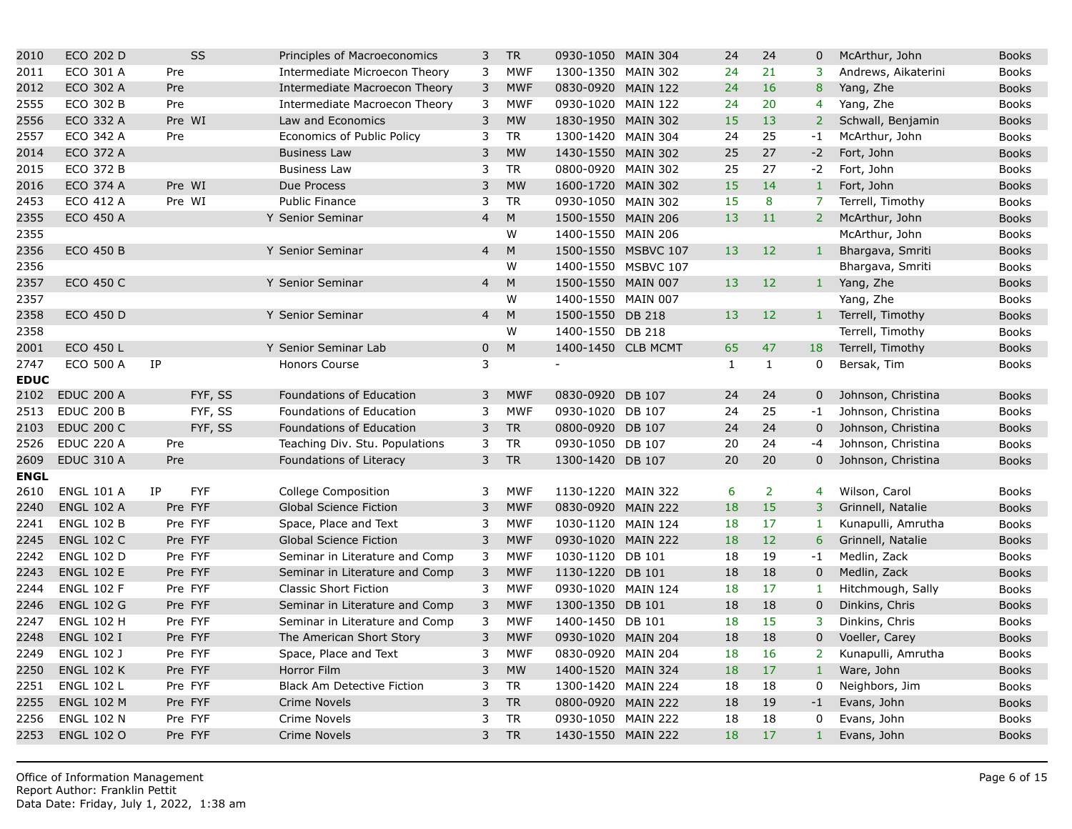| 2010        | ECO 202 D         | <b>SS</b>               | Principles of Macroeconomics      | 3              | <b>TR</b>  | 0930-1050 MAIN 304 |                     | 24           | 24             | $\mathbf 0$    |
|-------------|-------------------|-------------------------|-----------------------------------|----------------|------------|--------------------|---------------------|--------------|----------------|----------------|
| 2011        | ECO 301 A         | Pre                     | Intermediate Microecon Theory     | 3              | <b>MWF</b> | 1300-1350 MAIN 302 |                     | 24           | 21             | 3              |
| 2012        | ECO 302 A         | Pre                     | Intermediate Macroecon Theory     | 3              | <b>MWF</b> | 0830-0920 MAIN 122 |                     | 24           | 16             | $\bf 8$        |
| 2555        | <b>ECO 302 B</b>  | Pre                     | Intermediate Macroecon Theory     | 3              | <b>MWF</b> | 0930-1020 MAIN 122 |                     | 24           | 20             | $\overline{4}$ |
| 2556        | ECO 332 A         | Pre WI                  | Law and Economics                 | 3              | <b>MW</b>  | 1830-1950 MAIN 302 |                     | 15           | 13             | $\overline{2}$ |
| 2557        | ECO 342 A         | Pre                     | Economics of Public Policy        | 3              | <b>TR</b>  | 1300-1420 MAIN 304 |                     | 24           | 25             | $-1$           |
| 2014        | ECO 372 A         |                         | <b>Business Law</b>               | 3              | <b>MW</b>  | 1430-1550 MAIN 302 |                     | 25           | 27             | $-2$           |
| 2015        | <b>ECO 372 B</b>  |                         | <b>Business Law</b>               | 3              | <b>TR</b>  | 0800-0920 MAIN 302 |                     | 25           | 27             | $-2$           |
| 2016        | <b>ECO 374 A</b>  | Pre WI                  | Due Process                       | 3              | <b>MW</b>  | 1600-1720 MAIN 302 |                     | 15           | 14             | $\mathbf{1}$   |
| 2453        | ECO 412 A         | Pre WI                  | <b>Public Finance</b>             | 3              | <b>TR</b>  | 0930-1050 MAIN 302 |                     | 15           | 8              | $\overline{7}$ |
| 2355        | ECO 450 A         |                         | Y Senior Seminar                  | $\overline{4}$ | ${\sf M}$  | 1500-1550 MAIN 206 |                     | 13           | 11             | 2 <sup>7</sup> |
| 2355        |                   |                         |                                   |                | W          | 1400-1550 MAIN 206 |                     |              |                |                |
| 2356        | <b>ECO 450 B</b>  |                         | Y Senior Seminar                  | $\overline{4}$ | M          |                    | 1500-1550 MSBVC 107 | 13           | 12             | $\mathbf{1}$   |
| 2356        |                   |                         |                                   |                | W          |                    | 1400-1550 MSBVC 107 |              |                |                |
| 2357        | <b>ECO 450 C</b>  |                         | Y Senior Seminar                  | 4              | M          | 1500-1550 MAIN 007 |                     | 13           | 12             | $\mathbf{1}$   |
| 2357        |                   |                         |                                   |                | W          | 1400-1550 MAIN 007 |                     |              |                |                |
| 2358        | <b>ECO 450 D</b>  |                         | Y Senior Seminar                  | $\overline{4}$ | M          | 1500-1550 DB 218   |                     | 13           | 12             | $\mathbf{1}$   |
| 2358        |                   |                         |                                   |                | W          | 1400-1550 DB 218   |                     |              |                |                |
| 2001        | ECO 450 L         |                         | Y Senior Seminar Lab              | $\mathbf{0}$   | M          |                    | 1400-1450 CLB MCMT  | 65           | 47             | 18             |
| 2747        | <b>ECO 500 A</b>  | IP                      | Honors Course                     | 3              |            | $\blacksquare$     |                     | $\mathbf{1}$ | $\mathbf{1}$   | 0              |
| <b>EDUC</b> |                   |                         |                                   |                |            |                    |                     |              |                |                |
| 2102        | <b>EDUC 200 A</b> | FYF, SS                 | Foundations of Education          | 3              | <b>MWF</b> | 0830-0920 DB 107   |                     | 24           | 24             | $\mathbf 0$    |
| 2513        | <b>EDUC 200 B</b> | FYF, SS                 | Foundations of Education          | 3              | <b>MWF</b> | 0930-1020 DB 107   |                     | 24           | 25             | $-1$           |
| 2103        | <b>EDUC 200 C</b> | FYF, SS                 | Foundations of Education          | 3              | <b>TR</b>  | 0800-0920 DB 107   |                     | 24           | 24             | $\mathbf 0$    |
| 2526        | <b>EDUC 220 A</b> | Pre                     | Teaching Div. Stu. Populations    | 3              | <b>TR</b>  | 0930-1050 DB 107   |                     | 20           | 24             | -4             |
| 2609        | <b>EDUC 310 A</b> | Pre                     | Foundations of Literacy           | 3              | ${\sf TR}$ | 1300-1420 DB 107   |                     | 20           | 20             | $\mathbf 0$    |
| <b>ENGL</b> |                   |                         |                                   |                |            |                    |                     |              |                |                |
| 2610        | <b>ENGL 101 A</b> | <b>IP</b><br><b>FYF</b> | <b>College Composition</b>        | 3              | <b>MWF</b> | 1130-1220 MAIN 322 |                     | 6            | $\overline{2}$ | $\overline{4}$ |
| 2240        | <b>ENGL 102 A</b> | Pre FYF                 | <b>Global Science Fiction</b>     | 3              | <b>MWF</b> | 0830-0920          | <b>MAIN 222</b>     | 18           | 15             | 3              |
| 2241        | <b>ENGL 102 B</b> | Pre FYF                 | Space, Place and Text             | 3              | <b>MWF</b> | 1030-1120 MAIN 124 |                     | 18           | 17             | $\mathbf{1}$   |
| 2245        | <b>ENGL 102 C</b> | Pre FYF                 | <b>Global Science Fiction</b>     | 3              | <b>MWF</b> | 0930-1020 MAIN 222 |                     | 18           | 12             | 6              |
| 2242        | <b>ENGL 102 D</b> | Pre FYF                 | Seminar in Literature and Comp    | 3              | <b>MWF</b> | 1030-1120 DB 101   |                     | 18           | 19             | $-1$           |
| 2243        | <b>ENGL 102 E</b> | Pre FYF                 | Seminar in Literature and Comp    | 3              | <b>MWF</b> | 1130-1220 DB 101   |                     | 18           | 18             | $\mathbf 0$    |
| 2244        | <b>ENGL 102 F</b> | Pre FYF                 | <b>Classic Short Fiction</b>      | 3              | <b>MWF</b> | 0930-1020 MAIN 124 |                     | 18           | 17             | $\mathbf{1}$   |
| 2246        | <b>ENGL 102 G</b> | Pre FYF                 | Seminar in Literature and Comp    | 3              | <b>MWF</b> | 1300-1350 DB 101   |                     | 18           | 18             | $\mathbf 0$    |
| 2247        | <b>ENGL 102 H</b> | Pre FYF                 | Seminar in Literature and Comp    | 3              | <b>MWF</b> | 1400-1450 DB 101   |                     | 18           | 15             | 3              |
| 2248        | <b>ENGL 102 I</b> | Pre FYF                 | The American Short Story          | 3              | <b>MWF</b> | 0930-1020 MAIN 204 |                     | 18           | 18             | $\mathbf 0$    |
| 2249        | <b>ENGL 102 J</b> | Pre FYF                 | Space, Place and Text             | 3              | <b>MWF</b> | 0830-0920 MAIN 204 |                     | 18           | 16             | 2 <sup>1</sup> |
| 2250        | <b>ENGL 102 K</b> | Pre FYF                 | Horror Film                       | 3              | <b>MW</b>  | 1400-1520 MAIN 324 |                     | 18           | 17             | $\,1\,$        |
| 2251        | <b>ENGL 102 L</b> | Pre FYF                 | <b>Black Am Detective Fiction</b> | 3              | <b>TR</b>  | 1300-1420 MAIN 224 |                     | 18           | 18             | 0              |
| 2255        | <b>ENGL 102 M</b> | Pre FYF                 | Crime Novels                      | 3              | <b>TR</b>  | 0800-0920 MAIN 222 |                     | 18           | 19             | $-1$           |
| 2256        | <b>ENGL 102 N</b> | Pre FYF                 | Crime Novels                      | 3              | <b>TR</b>  | 0930-1050 MAIN 222 |                     | 18           | 18             | 0              |
| 2253        | <b>ENGL 102 O</b> | Pre FYF                 | Crime Novels                      | 3              | <b>TR</b>  | 1430-1550 MAIN 222 |                     | 18           | 17             | $\mathbf{1}$   |
|             |                   |                         |                                   |                |            |                    |                     |              |                |                |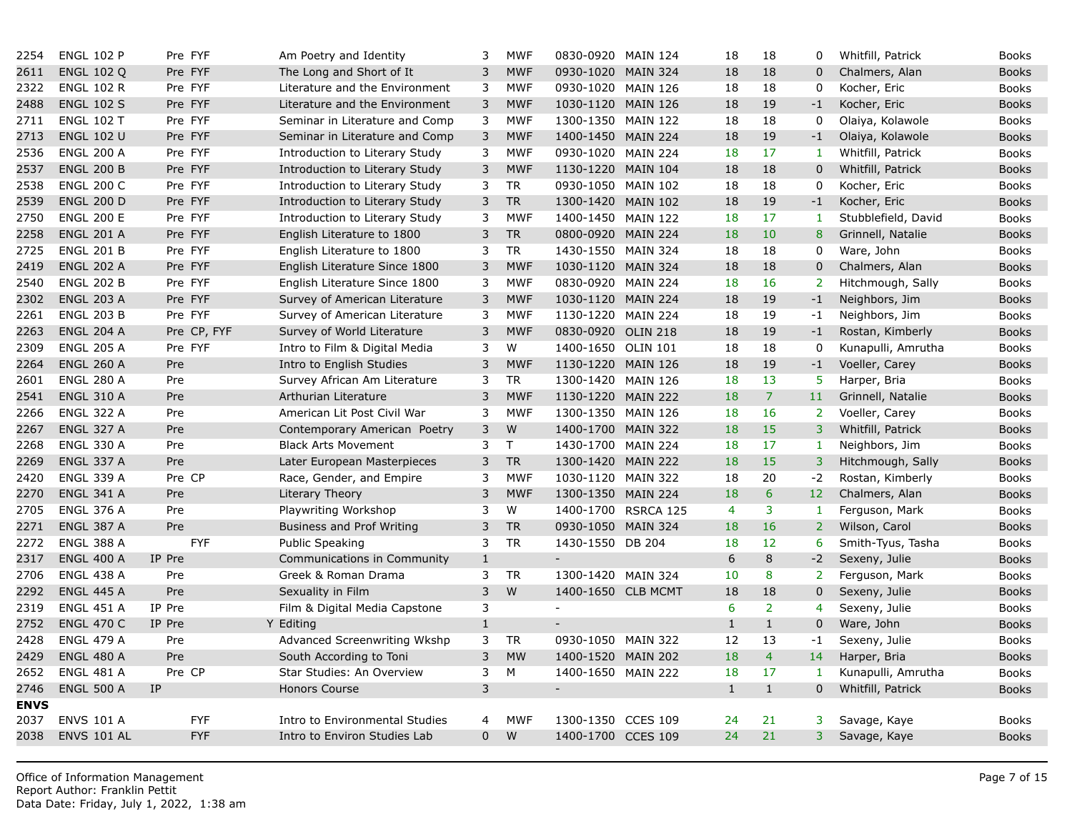| 2254        | <b>ENGL 102 P</b>  | Pre FYF     | Am Poetry and Identity           | 3              | <b>MWF</b>   | 0830-0920 MAIN 124          |                     | 18           | 18             | 0               |
|-------------|--------------------|-------------|----------------------------------|----------------|--------------|-----------------------------|---------------------|--------------|----------------|-----------------|
| 2611        | <b>ENGL 102 Q</b>  | Pre FYF     | The Long and Short of It         | 3              | <b>MWF</b>   | 0930-1020 MAIN 324          |                     | 18           | 18             | $\overline{0}$  |
| 2322        | <b>ENGL 102 R</b>  | Pre FYF     | Literature and the Environment   | 3              | <b>MWF</b>   | 0930-1020 MAIN 126          |                     | 18           | 18             | 0               |
| 2488        | <b>ENGL 102 S</b>  | Pre FYF     | Literature and the Environment   | 3              | <b>MWF</b>   | 1030-1120 MAIN 126          |                     | 18           | 19             | $-1$            |
| 2711        | <b>ENGL 102 T</b>  | Pre FYF     | Seminar in Literature and Comp   | 3              | <b>MWF</b>   | 1300-1350 MAIN 122          |                     | 18           | 18             | $\mathbf 0$     |
| 2713        | <b>ENGL 102 U</b>  | Pre FYF     | Seminar in Literature and Comp   | $\mathsf{3}$   | <b>MWF</b>   | 1400-1450 MAIN 224          |                     | 18           | 19             | $-1$            |
| 2536        | <b>ENGL 200 A</b>  | Pre FYF     | Introduction to Literary Study   | 3              | <b>MWF</b>   | 0930-1020                   | <b>MAIN 224</b>     | 18           | 17             | $\mathbf{1}$    |
| 2537        | <b>ENGL 200 B</b>  | Pre FYF     | Introduction to Literary Study   | 3              | <b>MWF</b>   | 1130-1220 MAIN 104          |                     | 18           | 18             | $\overline{0}$  |
| 2538        | <b>ENGL 200 C</b>  | Pre FYF     | Introduction to Literary Study   | 3              | <b>TR</b>    | 0930-1050 MAIN 102          |                     | 18           | 18             | $\mathbf 0$     |
| 2539        | <b>ENGL 200 D</b>  | Pre FYF     | Introduction to Literary Study   | 3              | <b>TR</b>    | 1300-1420 MAIN 102          |                     | 18           | 19             | $-1$            |
| 2750        | <b>ENGL 200 E</b>  | Pre FYF     | Introduction to Literary Study   | 3              | <b>MWF</b>   | 1400-1450 MAIN 122          |                     | 18           | 17             | $\mathbf{1}$    |
| 2258        | <b>ENGL 201 A</b>  | Pre FYF     | English Literature to 1800       | 3              | <b>TR</b>    | 0800-0920 MAIN 224          |                     | 18           | 10             | 8               |
| 2725        | <b>ENGL 201 B</b>  | Pre FYF     | English Literature to 1800       | 3              | <b>TR</b>    | 1430-1550 MAIN 324          |                     | 18           | 18             | $\mathbf 0$     |
| 2419        | <b>ENGL 202 A</b>  | Pre FYF     | English Literature Since 1800    | 3              | <b>MWF</b>   | 1030-1120                   | <b>MAIN 324</b>     | 18           | 18             | $\mathbf 0$     |
| 2540        | <b>ENGL 202 B</b>  | Pre FYF     | English Literature Since 1800    | 3              | <b>MWF</b>   | 0830-0920 MAIN 224          |                     | 18           | 16             | $\overline{2}$  |
| 2302        | <b>ENGL 203 A</b>  | Pre FYF     | Survey of American Literature    | 3              | <b>MWF</b>   | 1030-1120 MAIN 224          |                     | 18           | 19             | $-1$            |
| 2261        | <b>ENGL 203 B</b>  | Pre FYF     | Survey of American Literature    | 3              | <b>MWF</b>   | 1130-1220 MAIN 224          |                     | 18           | 19             | $-1$            |
| 2263        | <b>ENGL 204 A</b>  | Pre CP, FYF | Survey of World Literature       | 3              | <b>MWF</b>   | 0830-0920 OLIN 218          |                     | 18           | 19             | $-1$            |
| 2309        | <b>ENGL 205 A</b>  | Pre FYF     | Intro to Film & Digital Media    | 3              | W            | 1400-1650 OLIN 101          |                     | 18           | 18             | $\mathbf 0$     |
| 2264        | <b>ENGL 260 A</b>  | Pre         | Intro to English Studies         | 3              | <b>MWF</b>   | 1130-1220 MAIN 126          |                     | 18           | 19             | $-1$            |
| 2601        | <b>ENGL 280 A</b>  | Pre         | Survey African Am Literature     | 3              | <b>TR</b>    | 1300-1420 MAIN 126          |                     | 18           | 13             | 5 <sup>1</sup>  |
| 2541        | <b>ENGL 310 A</b>  | Pre         | Arthurian Literature             | 3              | <b>MWF</b>   | 1130-1220 MAIN 222          |                     | 18           | $\overline{7}$ | 11              |
| 2266        | <b>ENGL 322 A</b>  | Pre         | American Lit Post Civil War      | 3              | <b>MWF</b>   | 1300-1350 MAIN 126          |                     | 18           | 16             | $\overline{2}$  |
| 2267        | <b>ENGL 327 A</b>  | Pre         | Contemporary American Poetry     | 3              | W            | 1400-1700 MAIN 322          |                     | 18           | 15             | $\overline{3}$  |
| 2268        | <b>ENGL 330 A</b>  | Pre         | <b>Black Arts Movement</b>       | 3              | $\mathsf{T}$ | 1430-1700 MAIN 224          |                     | 18           | 17             | $\mathbf{1}$    |
| 2269        | <b>ENGL 337 A</b>  | Pre         | Later European Masterpieces      | 3              | <b>TR</b>    | 1300-1420 MAIN 222          |                     | 18           | 15             | $\overline{3}$  |
| 2420        | <b>ENGL 339 A</b>  | Pre CP      | Race, Gender, and Empire         | 3              | <b>MWF</b>   | 1030-1120 MAIN 322          |                     | 18           | 20             | $-2$            |
| 2270        | <b>ENGL 341 A</b>  | Pre         | Literary Theory                  | 3              | <b>MWF</b>   | 1300-1350 MAIN 224          |                     | 18           | $6\phantom{a}$ | 12 <sub>2</sub> |
| 2705        | <b>ENGL 376 A</b>  | Pre         | Playwriting Workshop             | 3              | W            |                             | 1400-1700 RSRCA 125 | 4            | 3              | $\mathbf{1}$    |
| 2271        | ENGL 387 A         | Pre         | <b>Business and Prof Writing</b> | $\mathsf{3}$   | <b>TR</b>    | 0930-1050 MAIN 324          |                     | 18           | 16             | 2 <sup>7</sup>  |
| 2272        | <b>ENGL 388 A</b>  | <b>FYF</b>  | Public Speaking                  | 3              | <b>TR</b>    | 1430-1550 DB 204            |                     | 18           | 12             | 6               |
| 2317        | <b>ENGL 400 A</b>  | IP Pre      | Communications in Community      | $\mathbf 1$    |              | $\overline{\phantom{a}}$    |                     | 6            | $\,8\,$        | $-2$            |
| 2706        | <b>ENGL 438 A</b>  | Pre         | Greek & Roman Drama              | 3              | <b>TR</b>    | 1300-1420 MAIN 324          |                     | 10           | 8              | $2^{\circ}$     |
| 2292        | <b>ENGL 445 A</b>  | Pre         | Sexuality in Film                | $\overline{3}$ | W            | 1400-1650 CLB MCMT          |                     | 18           | 18             | $\overline{0}$  |
| 2319        | <b>ENGL 451 A</b>  | IP Pre      | Film & Digital Media Capstone    | 3              |              | $\sim$                      |                     | 6            | $\overline{2}$ | $\overline{4}$  |
| 2752        | <b>ENGL 470 C</b>  | IP Pre      | Y Editing                        | $1\,$          |              | $\overline{\phantom{a}}$    |                     | $\mathbf{1}$ | $\,1\,$        | $\mathbf 0$     |
| 2428        | <b>ENGL 479 A</b>  | Pre         | Advanced Screenwriting Wkshp     | 3              | <b>TR</b>    | 0930-1050 MAIN 322          |                     | 12           | 13             | $-1$            |
| 2429        | <b>ENGL 480 A</b>  | Pre         | South According to Toni          | 3              | <b>MW</b>    | 1400-1520 MAIN 202          |                     | 18           | $\overline{4}$ | 14              |
| 2652        | <b>ENGL 481 A</b>  | Pre CP      | Star Studies: An Overview        | 3              | M            | 1400-1650 MAIN 222          |                     | 18           | 17             | $\mathbf{1}$    |
| 2746        | <b>ENGL 500 A</b>  | IP          | <b>Honors Course</b>             | 3              |              | $\mathcal{L}_{\mathcal{A}}$ |                     | $\mathbf{1}$ | $\mathbf{1}$   | $\overline{0}$  |
| <b>ENVS</b> |                    |             |                                  |                |              |                             |                     |              |                |                 |
| 2037        | <b>ENVS 101 A</b>  | <b>FYF</b>  | Intro to Environmental Studies   | 4              | <b>MWF</b>   | 1300-1350 CCES 109          |                     | 24           | 21             | 3               |
| 2038        | <b>ENVS 101 AL</b> | <b>FYF</b>  | Intro to Environ Studies Lab     | $\overline{0}$ | W            | 1400-1700 CCES 109          |                     | 24           | 21             | 3 <sup>1</sup>  |
|             |                    |             |                                  |                |              |                             |                     |              |                |                 |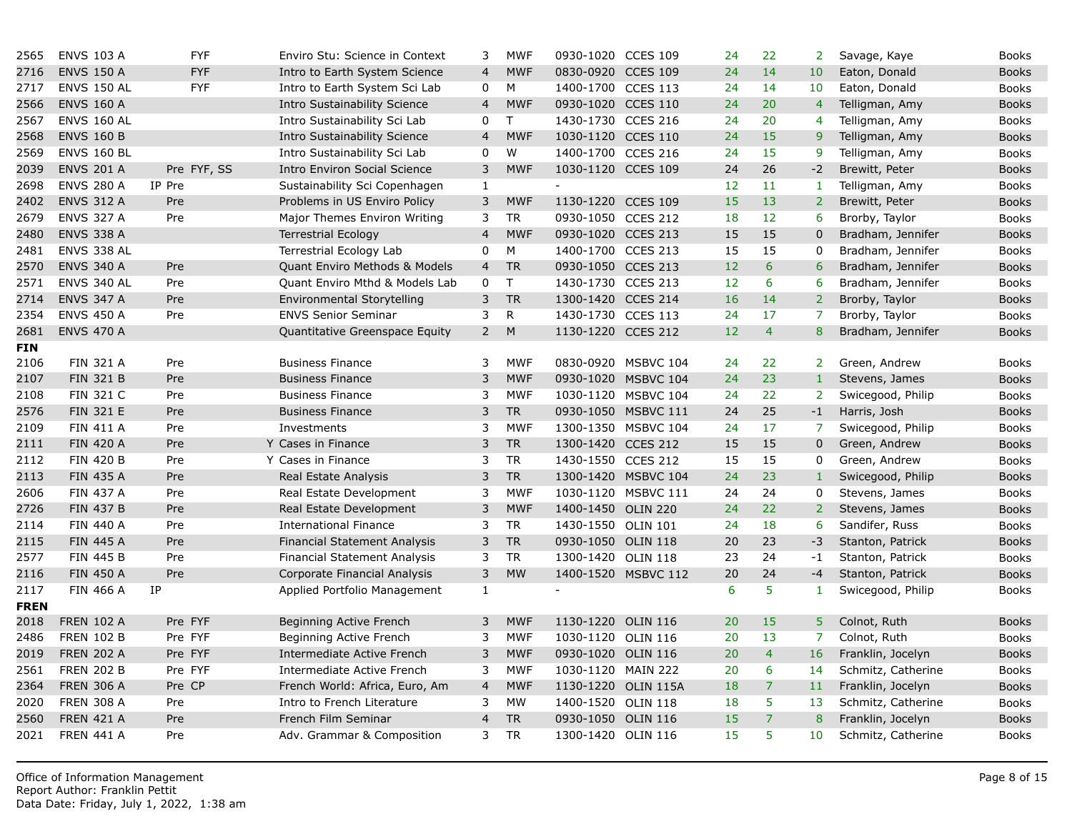| 2565        | <b>ENVS 103 A</b>  | <b>FYF</b>  | Enviro Stu: Science in Context      | 3              | <b>MWF</b>   | 0930-1020 CCES 109 |                     | 24 | 22             | $\overline{2}$  |
|-------------|--------------------|-------------|-------------------------------------|----------------|--------------|--------------------|---------------------|----|----------------|-----------------|
| 2716        | <b>ENVS 150 A</b>  | <b>FYF</b>  | Intro to Earth System Science       | $\overline{4}$ | <b>MWF</b>   | 0830-0920 CCES 109 |                     | 24 | 14             | 10 <sup>°</sup> |
| 2717        | <b>ENVS 150 AL</b> | <b>FYF</b>  | Intro to Earth System Sci Lab       | 0              | M            | 1400-1700 CCES 113 |                     | 24 | 14             | 10              |
| 2566        | <b>ENVS 160 A</b>  |             | <b>Intro Sustainability Science</b> | $\overline{4}$ | <b>MWF</b>   | 0930-1020 CCES 110 |                     | 24 | 20             | $\overline{4}$  |
| 2567        | <b>ENVS 160 AL</b> |             | Intro Sustainability Sci Lab        | 0              | $\mathsf{T}$ | 1430-1730 CCES 216 |                     | 24 | 20             | $\overline{4}$  |
| 2568        | <b>ENVS 160 B</b>  |             | Intro Sustainability Science        | $\overline{4}$ | <b>MWF</b>   | 1030-1120 CCES 110 |                     | 24 | 15             | 9 <sup>°</sup>  |
| 2569        | <b>ENVS 160 BL</b> |             | Intro Sustainability Sci Lab        | 0              | W            | 1400-1700 CCES 216 |                     | 24 | 15             | 9               |
| 2039        | <b>ENVS 201 A</b>  | Pre FYF, SS | <b>Intro Environ Social Science</b> | 3              | <b>MWF</b>   | 1030-1120 CCES 109 |                     | 24 | 26             | $-2$            |
| 2698        | <b>ENVS 280 A</b>  | IP Pre      | Sustainability Sci Copenhagen       | $\mathbf{1}$   |              |                    |                     | 12 | 11             | -1              |
| 2402        | <b>ENVS 312 A</b>  | Pre         | Problems in US Enviro Policy        | 3              | <b>MWF</b>   | 1130-1220 CCES 109 |                     | 15 | 13             | 2 <sup>1</sup>  |
| 2679        | <b>ENVS 327 A</b>  | Pre         | Major Themes Environ Writing        | 3              | <b>TR</b>    | 0930-1050 CCES 212 |                     | 18 | 12             | 6               |
| 2480        | <b>ENVS 338 A</b>  |             | <b>Terrestrial Ecology</b>          | $\overline{a}$ | <b>MWF</b>   | 0930-1020 CCES 213 |                     | 15 | 15             | $\mathbf 0$     |
| 2481        | ENVS 338 AL        |             | Terrestrial Ecology Lab             | 0              | M            | 1400-1700 CCES 213 |                     | 15 | 15             | $\mathbf 0$     |
| 2570        | <b>ENVS 340 A</b>  | Pre         | Quant Enviro Methods & Models       | $\overline{4}$ | <b>TR</b>    | 0930-1050 CCES 213 |                     | 12 | 6              | 6               |
| 2571        | ENVS 340 AL        | Pre         | Quant Enviro Mthd & Models Lab      | 0              | T            | 1430-1730 CCES 213 |                     | 12 | 6              | 6               |
| 2714        | <b>ENVS 347 A</b>  | Pre         | Environmental Storytelling          | 3              | <b>TR</b>    | 1300-1420 CCES 214 |                     | 16 | 14             | 2 <sup>1</sup>  |
| 2354        | <b>ENVS 450 A</b>  | Pre         | <b>ENVS Senior Seminar</b>          | 3              | $\mathsf{R}$ | 1430-1730 CCES 113 |                     | 24 | 17             | $\overline{7}$  |
| 2681        | <b>ENVS 470 A</b>  |             | Quantitative Greenspace Equity      | $\overline{2}$ | M            | 1130-1220 CCES 212 |                     | 12 | $\overline{4}$ | 8               |
| <b>FIN</b>  |                    |             |                                     |                |              |                    |                     |    |                |                 |
| 2106        | <b>FIN 321 A</b>   | Pre         | <b>Business Finance</b>             | 3              | <b>MWF</b>   |                    | 0830-0920 MSBVC 104 | 24 | 22             | 2 <sup>7</sup>  |
| 2107        | <b>FIN 321 B</b>   | Pre         | <b>Business Finance</b>             | 3              | <b>MWF</b>   |                    | 0930-1020 MSBVC 104 | 24 | 23             | $1\,$           |
| 2108        | <b>FIN 321 C</b>   | Pre         | <b>Business Finance</b>             | 3              | <b>MWF</b>   |                    | 1030-1120 MSBVC 104 | 24 | 22             | 2 <sup>1</sup>  |
| 2576        | <b>FIN 321 E</b>   | Pre         | <b>Business Finance</b>             | 3              | <b>TR</b>    |                    | 0930-1050 MSBVC 111 | 24 | 25             | $-1$            |
| 2109        | <b>FIN 411 A</b>   | Pre         | Investments                         | 3              | <b>MWF</b>   |                    | 1300-1350 MSBVC 104 | 24 | 17             | $\overline{7}$  |
| 2111        | <b>FIN 420 A</b>   | Pre         | Y Cases in Finance                  | $\mathsf 3$    | ${\sf TR}$   | 1300-1420 CCES 212 |                     | 15 | 15             | $\mathbf 0$     |
| 2112        | <b>FIN 420 B</b>   | Pre         | Y Cases in Finance                  | 3              | <b>TR</b>    | 1430-1550 CCES 212 |                     | 15 | 15             | 0               |
| 2113        | <b>FIN 435 A</b>   | Pre         | Real Estate Analysis                | $\mathsf 3$    | ${\sf TR}$   |                    | 1300-1420 MSBVC 104 | 24 | 23             | $\mathbf{1}$    |
| 2606        | <b>FIN 437 A</b>   | Pre         | Real Estate Development             | 3              | <b>MWF</b>   |                    | 1030-1120 MSBVC 111 | 24 | 24             | $\mathbf 0$     |
| 2726        | <b>FIN 437 B</b>   | Pre         | Real Estate Development             | 3              | <b>MWF</b>   | 1400-1450 OLIN 220 |                     | 24 | 22             | $\overline{2}$  |
| 2114        | <b>FIN 440 A</b>   | Pre         | <b>International Finance</b>        | 3              | <b>TR</b>    | 1430-1550 OLIN 101 |                     | 24 | 18             | 6               |
| 2115        | <b>FIN 445 A</b>   | Pre         | <b>Financial Statement Analysis</b> | 3              | <b>TR</b>    | 0930-1050 OLIN 118 |                     | 20 | 23             | $-3$            |
| 2577        | <b>FIN 445 B</b>   | Pre         | Financial Statement Analysis        | 3              | <b>TR</b>    | 1300-1420 OLIN 118 |                     | 23 | 24             | $-1$            |
| 2116        | <b>FIN 450 A</b>   | Pre         | Corporate Financial Analysis        | 3              | <b>MW</b>    |                    | 1400-1520 MSBVC 112 | 20 | 24             | $-4$            |
| 2117        | <b>FIN 466 A</b>   | IP          | Applied Portfolio Management        | $\mathbf{1}$   |              | $\blacksquare$     |                     | 6  | 5              | $\mathbf{1}$    |
| <b>FREN</b> |                    |             |                                     |                |              |                    |                     |    |                |                 |
| 2018        | <b>FREN 102 A</b>  | Pre FYF     | Beginning Active French             | 3              | <b>MWF</b>   | 1130-1220 OLIN 116 |                     | 20 | 15             | $\overline{5}$  |
| 2486        | <b>FREN 102 B</b>  | Pre FYF     | Beginning Active French             | 3              | <b>MWF</b>   | 1030-1120 OLIN 116 |                     | 20 | 13             | $\overline{7}$  |
| 2019        | <b>FREN 202 A</b>  | Pre FYF     | Intermediate Active French          | 3              | <b>MWF</b>   | 0930-1020 OLIN 116 |                     | 20 | $\overline{4}$ | 16              |
| 2561        | <b>FREN 202 B</b>  | Pre FYF     | Intermediate Active French          | 3              | <b>MWF</b>   | 1030-1120 MAIN 222 |                     | 20 | 6              | 14              |
| 2364        | <b>FREN 306 A</b>  | Pre CP      | French World: Africa, Euro, Am      | 4              | <b>MWF</b>   |                    | 1130-1220 OLIN 115A | 18 | $\overline{7}$ | 11              |
| 2020        | <b>FREN 308 A</b>  | Pre         | Intro to French Literature          | 3              | <b>MW</b>    | 1400-1520 OLIN 118 |                     | 18 | 5 <sup>5</sup> | 13              |
| 2560        | <b>FREN 421 A</b>  | Pre         | French Film Seminar                 | $\overline{4}$ | <b>TR</b>    | 0930-1050 OLIN 116 |                     | 15 | $\overline{7}$ | 8               |
| 2021        | <b>FREN 441 A</b>  | Pre         | Adv. Grammar & Composition          | 3              | <b>TR</b>    | 1300-1420 OLIN 116 |                     | 15 | 5              | 10 <sup>°</sup> |
|             |                    |             |                                     |                |              |                    |                     |    |                |                 |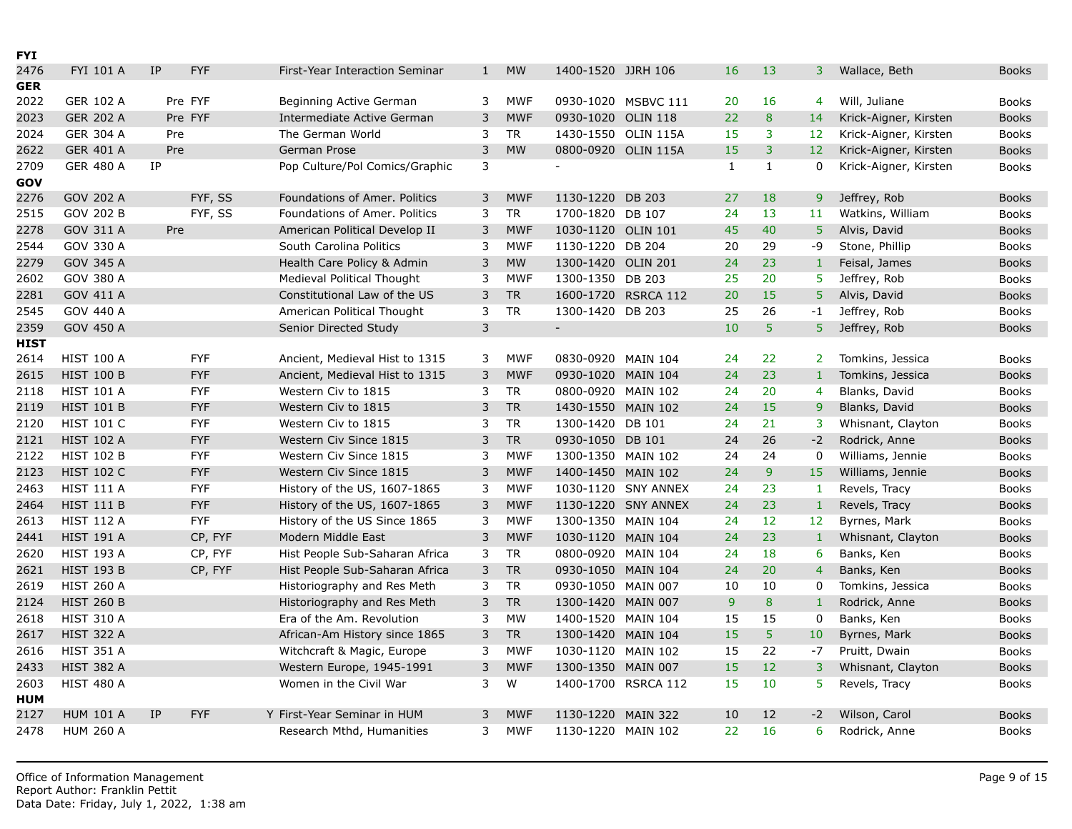| <b>FYI</b>  |                   |           |            |                                |              |            |                          |                     |                |                |                 |
|-------------|-------------------|-----------|------------|--------------------------------|--------------|------------|--------------------------|---------------------|----------------|----------------|-----------------|
| 2476        | <b>FYI 101 A</b>  | <b>IP</b> | <b>FYF</b> | First-Year Interaction Seminar | $\mathbf{1}$ | <b>MW</b>  | 1400-1520 JJRH 106       |                     | 16             | 13             | 3               |
| <b>GER</b>  |                   |           |            |                                |              |            |                          |                     |                |                |                 |
| 2022        | <b>GER 102 A</b>  |           | Pre FYF    | Beginning Active German        | 3            | <b>MWF</b> |                          | 0930-1020 MSBVC 111 | 20             | 16             | $\overline{4}$  |
| 2023        | <b>GER 202 A</b>  |           | Pre FYF    | Intermediate Active German     | 3            | <b>MWF</b> | 0930-1020                | <b>OLIN 118</b>     | 22             | 8              | 14              |
| 2024        | <b>GER 304 A</b>  | Pre       |            | The German World               | 3            | <b>TR</b>  | 1430-1550 OLIN 115A      |                     | 15             | 3              | 12 <sup>2</sup> |
| 2622        | <b>GER 401 A</b>  | Pre       |            | German Prose                   | 3            | <b>MW</b>  |                          | 0800-0920 OLIN 115A | 15             | 3              | 12 <sup>7</sup> |
| 2709        | <b>GER 480 A</b>  | IP        |            | Pop Culture/Pol Comics/Graphic | 3            |            | $\overline{\phantom{0}}$ |                     | $\mathbf{1}$   | $\mathbf{1}$   | $\Omega$        |
| <b>GOV</b>  |                   |           |            |                                |              |            |                          |                     |                |                |                 |
| 2276        | GOV 202 A         |           | FYF, SS    | Foundations of Amer. Politics  | 3            | <b>MWF</b> | 1130-1220                | <b>DB 203</b>       | 27             | 18             | 9 <sup>°</sup>  |
| 2515        | <b>GOV 202 B</b>  |           | FYF, SS    | Foundations of Amer. Politics  | 3            | <b>TR</b>  | 1700-1820 DB 107         |                     | 24             | 13             | 11 <sub>1</sub> |
| 2278        | GOV 311 A         | Pre       |            | American Political Develop II  | 3            | <b>MWF</b> | 1030-1120 OLIN 101       |                     | 45             | 40             | 5 <sup>1</sup>  |
| 2544        | GOV 330 A         |           |            | South Carolina Politics        | 3            | <b>MWF</b> | 1130-1220 DB 204         |                     | 20             | 29             | $-9$            |
| 2279        | GOV 345 A         |           |            | Health Care Policy & Admin     | 3            | <b>MW</b>  | 1300-1420 OLIN 201       |                     | 24             | 23             | $\mathbf{1}$    |
| 2602        | GOV 380 A         |           |            | Medieval Political Thought     | 3            | <b>MWF</b> | 1300-1350 DB 203         |                     | 25             | 20             | 5               |
| 2281        | GOV 411 A         |           |            | Constitutional Law of the US   | 3            | <b>TR</b>  |                          | 1600-1720 RSRCA 112 | 20             | 15             | 5               |
| 2545        | GOV 440 A         |           |            | American Political Thought     | 3            | <b>TR</b>  | 1300-1420 DB 203         |                     | 25             | 26             | $-1$            |
| 2359        | <b>GOV 450 A</b>  |           |            | Senior Directed Study          | $\mathsf{3}$ |            | $\overline{\phantom{a}}$ |                     | 10             | 5              | 5 <sup>1</sup>  |
| <b>HIST</b> |                   |           |            |                                |              |            |                          |                     |                |                |                 |
| 2614        | <b>HIST 100 A</b> |           | <b>FYF</b> | Ancient, Medieval Hist to 1315 | 3            | <b>MWF</b> | 0830-0920 MAIN 104       |                     | 24             | 22             | 2 <sup>1</sup>  |
| 2615        | <b>HIST 100 B</b> |           | <b>FYF</b> | Ancient, Medieval Hist to 1315 | 3            | <b>MWF</b> | 0930-1020 MAIN 104       |                     | 24             | 23             | $\mathbf{1}$    |
| 2118        | <b>HIST 101 A</b> |           | <b>FYF</b> | Western Civ to 1815            | 3            | <b>TR</b>  | 0800-0920 MAIN 102       |                     | 24             | 20             | $\overline{4}$  |
| 2119        | <b>HIST 101 B</b> |           | <b>FYF</b> | Western Civ to 1815            | 3            | <b>TR</b>  | 1430-1550 MAIN 102       |                     | 24             | 15             | 9               |
| 2120        | <b>HIST 101 C</b> |           | <b>FYF</b> | Western Civ to 1815            | 3            | <b>TR</b>  | 1300-1420 DB 101         |                     | 24             | 21             | 3               |
| 2121        | <b>HIST 102 A</b> |           | <b>FYF</b> | Western Civ Since 1815         | 3            | ${\sf TR}$ | 0930-1050 DB 101         |                     | 24             | 26             | $-2$            |
| 2122        | <b>HIST 102 B</b> |           | <b>FYF</b> | Western Civ Since 1815         | 3            | <b>MWF</b> | 1300-1350 MAIN 102       |                     | 24             | 24             | $\mathbf 0$     |
| 2123        | <b>HIST 102 C</b> |           | <b>FYF</b> | Western Civ Since 1815         | 3            | <b>MWF</b> | 1400-1450 MAIN 102       |                     | 24             | $\overline{9}$ | 15              |
| 2463        | <b>HIST 111 A</b> |           | <b>FYF</b> | History of the US, 1607-1865   | 3            | <b>MWF</b> |                          | 1030-1120 SNY ANNEX | 24             | 23             | 1               |
| 2464        | <b>HIST 111 B</b> |           | <b>FYF</b> | History of the US, 1607-1865   | 3            | <b>MWF</b> |                          | 1130-1220 SNY ANNEX | 24             | 23             | $\mathbf{1}$    |
| 2613        | <b>HIST 112 A</b> |           | <b>FYF</b> | History of the US Since 1865   | 3            | <b>MWF</b> | 1300-1350 MAIN 104       |                     | 24             | 12             | 12 <sup>2</sup> |
| 2441        | <b>HIST 191 A</b> |           | CP, FYF    | Modern Middle East             | 3            | <b>MWF</b> | 1030-1120 MAIN 104       |                     | 24             | 23             | $\mathbf{1}$    |
| 2620        | <b>HIST 193 A</b> |           | CP, FYF    | Hist People Sub-Saharan Africa | 3            | <b>TR</b>  | 0800-0920 MAIN 104       |                     | 24             | 18             | 6               |
| 2621        | <b>HIST 193 B</b> |           | CP, FYF    | Hist People Sub-Saharan Africa | $\mathsf{3}$ | <b>TR</b>  | 0930-1050 MAIN 104       |                     | 24             | 20             | $\overline{4}$  |
| 2619        | <b>HIST 260 A</b> |           |            | Historiography and Res Meth    | 3            | <b>TR</b>  | 0930-1050 MAIN 007       |                     | 10             | 10             | 0               |
| 2124        | <b>HIST 260 B</b> |           |            | Historiography and Res Meth    | 3            | <b>TR</b>  | 1300-1420 MAIN 007       |                     | $\overline{9}$ | 8              | $\mathbf{1}$    |
| 2618        | <b>HIST 310 A</b> |           |            | Era of the Am. Revolution      | 3            | <b>MW</b>  | 1400-1520 MAIN 104       |                     | 15             | 15             | $\mathbf 0$     |
| 2617        | <b>HIST 322 A</b> |           |            | African-Am History since 1865  | 3            | <b>TR</b>  | 1300-1420 MAIN 104       |                     | 15             | 5              | 10 <sup>°</sup> |
| 2616        | <b>HIST 351 A</b> |           |            | Witchcraft & Magic, Europe     | 3            | <b>MWF</b> | 1030-1120 MAIN 102       |                     | 15             | 22             | $-7$            |
| 2433        | <b>HIST 382 A</b> |           |            | Western Europe, 1945-1991      | 3            | <b>MWF</b> | 1300-1350 MAIN 007       |                     | 15             | 12             | 3               |
| 2603        | <b>HIST 480 A</b> |           |            | Women in the Civil War         | 3            | W          |                          | 1400-1700 RSRCA 112 | 15             | 10             | 5               |
| <b>HUM</b>  |                   |           |            |                                |              |            |                          |                     |                |                |                 |
| 2127        | <b>HUM 101 A</b>  | <b>IP</b> | <b>FYF</b> | Y First-Year Seminar in HUM    | 3            | <b>MWF</b> | 1130-1220                | <b>MAIN 322</b>     | 10             | 12             | $-2$            |
| 2478        | <b>HUM 260 A</b>  |           |            | Research Mthd, Humanities      | 3            | <b>MWF</b> | 1130-1220 MAIN 102       |                     | 22             | 16             | 6               |
|             |                   |           |            |                                |              |            |                          |                     |                |                |                 |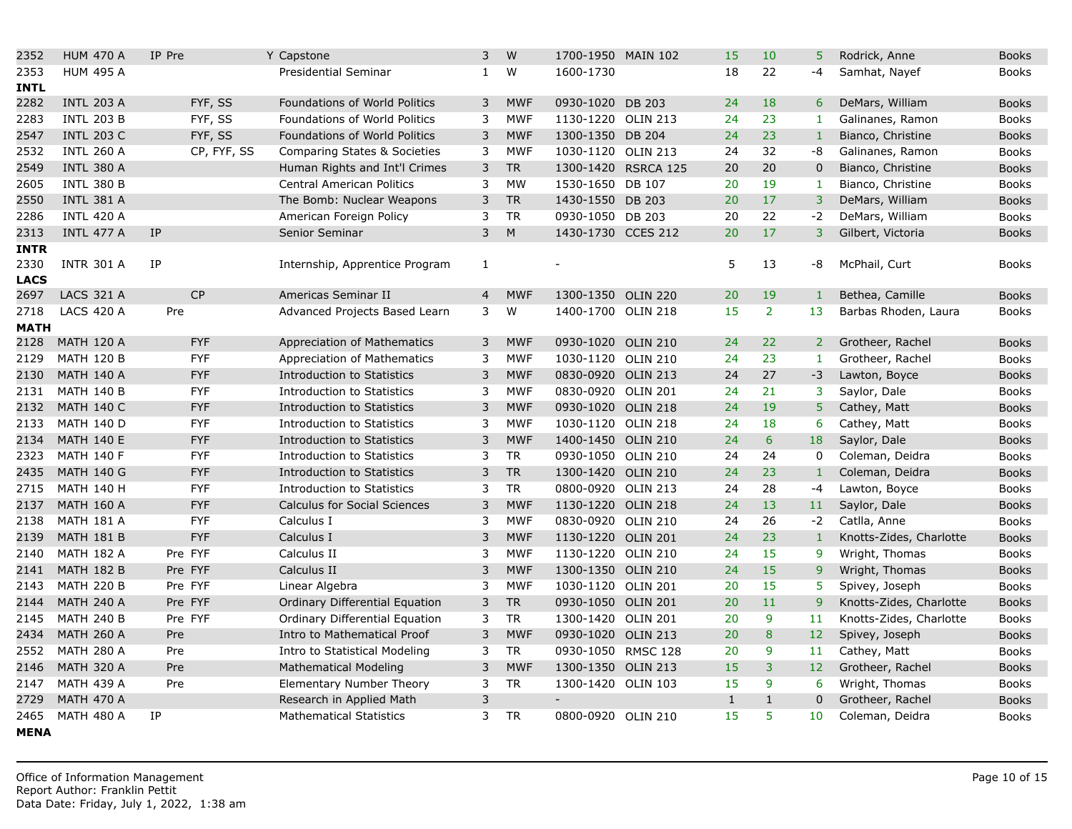| 2352        | <b>HUM 470 A</b>  | IP Pre      | Y Capstone                          | 3              | W          | 1700-1950 MAIN 102 |                     | 15           | 10             | 5               |
|-------------|-------------------|-------------|-------------------------------------|----------------|------------|--------------------|---------------------|--------------|----------------|-----------------|
| 2353        | <b>HUM 495 A</b>  |             | Presidential Seminar                | $\mathbf{1}$   | W          | 1600-1730          |                     | 18           | 22             | -4              |
| INTL        |                   |             |                                     |                |            |                    |                     |              |                |                 |
| 2282        | <b>INTL 203 A</b> | FYF, SS     | Foundations of World Politics       | 3              | <b>MWF</b> | 0930-1020 DB 203   |                     | 24           | 18             | 6               |
| 2283        | <b>INTL 203 B</b> | FYF, SS     | Foundations of World Politics       | 3              | <b>MWF</b> | 1130-1220 OLIN 213 |                     | 24           | 23             | 1               |
| 2547        | <b>INTL 203 C</b> | FYF, SS     | Foundations of World Politics       | 3              | <b>MWF</b> | 1300-1350 DB 204   |                     | 24           | 23             | $\mathbf{1}$    |
| 2532        | <b>INTL 260 A</b> | CP, FYF, SS | Comparing States & Societies        | 3              | <b>MWF</b> | 1030-1120 OLIN 213 |                     | 24           | 32             | -8              |
| 2549        | <b>INTL 380 A</b> |             | Human Rights and Int'l Crimes       | 3              | <b>TR</b>  |                    | 1300-1420 RSRCA 125 | 20           | 20             | $\overline{0}$  |
| 2605        | <b>INTL 380 B</b> |             | <b>Central American Politics</b>    | 3              | <b>MW</b>  | 1530-1650 DB 107   |                     | 20           | 19             | $\mathbf{1}$    |
| 2550        | <b>INTL 381 A</b> |             | The Bomb: Nuclear Weapons           | 3              | <b>TR</b>  | 1430-1550 DB 203   |                     | 20           | 17             | 3 <sup>1</sup>  |
| 2286        | <b>INTL 420 A</b> |             | American Foreign Policy             | 3              | <b>TR</b>  | 0930-1050 DB 203   |                     | 20           | 22             | $-2$            |
| 2313        | <b>INTL 477 A</b> | <b>IP</b>   | Senior Seminar                      | $\mathsf{3}$   | M          | 1430-1730 CCES 212 |                     | 20           | 17             | $\overline{3}$  |
| <b>INTR</b> |                   |             |                                     |                |            |                    |                     |              |                |                 |
| 2330        | <b>INTR 301 A</b> | IP          | Internship, Apprentice Program      | 1              |            |                    |                     | 5            | 13             | -8              |
| <b>LACS</b> |                   |             |                                     |                |            |                    |                     |              |                |                 |
| 2697        | <b>LACS 321 A</b> | <b>CP</b>   | Americas Seminar II                 | $\overline{4}$ | <b>MWF</b> | 1300-1350 OLIN 220 |                     | 20           | 19             | $1\,$           |
| 2718        | <b>LACS 420 A</b> | Pre         | Advanced Projects Based Learn       | 3              | W          | 1400-1700 OLIN 218 |                     | 15           | $\overline{2}$ | 13              |
| <b>MATH</b> |                   |             |                                     |                |            |                    |                     |              |                |                 |
| 2128        | <b>MATH 120 A</b> | <b>FYF</b>  | Appreciation of Mathematics         | 3              | <b>MWF</b> | 0930-1020 OLIN 210 |                     | 24           | 22             | 2 <sup>1</sup>  |
| 2129        | <b>MATH 120 B</b> | <b>FYF</b>  | Appreciation of Mathematics         | 3              | <b>MWF</b> | 1030-1120 OLIN 210 |                     | 24           | 23             | $\mathbf{1}$    |
| 2130        | <b>MATH 140 A</b> | <b>FYF</b>  | <b>Introduction to Statistics</b>   | 3              | <b>MWF</b> | 0830-0920 OLIN 213 |                     | 24           | 27             | $-3$            |
| 2131        | <b>MATH 140 B</b> | <b>FYF</b>  | Introduction to Statistics          | 3              | <b>MWF</b> | 0830-0920 OLIN 201 |                     | 24           | 21             | 3               |
| 2132        | <b>MATH 140 C</b> | <b>FYF</b>  | Introduction to Statistics          | 3              | <b>MWF</b> | 0930-1020 OLIN 218 |                     | 24           | 19             | 5               |
| 2133        | <b>MATH 140 D</b> | <b>FYF</b>  | Introduction to Statistics          | 3              | <b>MWF</b> | 1030-1120 OLIN 218 |                     | 24           | 18             | 6               |
| 2134        | <b>MATH 140 E</b> | <b>FYF</b>  | Introduction to Statistics          | 3              | <b>MWF</b> | 1400-1450 OLIN 210 |                     | 24           | 6              | 18              |
| 2323        | <b>MATH 140 F</b> | <b>FYF</b>  | Introduction to Statistics          | 3              | <b>TR</b>  | 0930-1050 OLIN 210 |                     | 24           | 24             | $\mathbf 0$     |
| 2435        | <b>MATH 140 G</b> | <b>FYF</b>  | <b>Introduction to Statistics</b>   | 3              | <b>TR</b>  | 1300-1420 OLIN 210 |                     | 24           | 23             | $\mathbf{1}$    |
| 2715        | <b>MATH 140 H</b> | <b>FYF</b>  | Introduction to Statistics          | 3              | <b>TR</b>  | 0800-0920 OLIN 213 |                     | 24           | 28             | $-4$            |
| 2137        | <b>MATH 160 A</b> | <b>FYF</b>  | <b>Calculus for Social Sciences</b> | 3              | <b>MWF</b> | 1130-1220 OLIN 218 |                     | 24           | 13             | 11              |
| 2138        | <b>MATH 181 A</b> | <b>FYF</b>  | Calculus I                          | 3              | <b>MWF</b> | 0830-0920 OLIN 210 |                     | 24           | 26             | $-2$            |
| 2139        | <b>MATH 181 B</b> | <b>FYF</b>  | Calculus I                          | 3              | <b>MWF</b> | 1130-1220 OLIN 201 |                     | 24           | 23             | $\mathbf{1}$    |
| 2140        | <b>MATH 182 A</b> | Pre FYF     | Calculus II                         | 3              | <b>MWF</b> | 1130-1220 OLIN 210 |                     | 24           | 15             | 9               |
| 2141        | <b>MATH 182 B</b> | Pre FYF     | Calculus II                         | 3              | <b>MWF</b> | 1300-1350 OLIN 210 |                     | 24           | 15             | 9               |
| 2143        | <b>MATH 220 B</b> | Pre FYF     | Linear Algebra                      | 3              | <b>MWF</b> | 1030-1120 OLIN 201 |                     | 20           | 15             | 5               |
| 2144        | <b>MATH 240 A</b> | Pre FYF     | Ordinary Differential Equation      | 3              | <b>TR</b>  | 0930-1050 OLIN 201 |                     | 20           | 11             | 9               |
| 2145        | <b>MATH 240 B</b> | Pre FYF     | Ordinary Differential Equation      | 3              | <b>TR</b>  | 1300-1420 OLIN 201 |                     | 20           | 9              | 11              |
| 2434        | <b>MATH 260 A</b> | Pre         | Intro to Mathematical Proof         | 3              | <b>MWF</b> | 0930-1020 OLIN 213 |                     | 20           | 8              | 12 <sub>2</sub> |
| 2552        | <b>MATH 280 A</b> | Pre         | Intro to Statistical Modeling       | 3              | <b>TR</b>  | 0930-1050 RMSC 128 |                     | 20           | 9              | 11              |
| 2146        | <b>MATH 320 A</b> | Pre         | <b>Mathematical Modeling</b>        | 3              | <b>MWF</b> | 1300-1350 OLIN 213 |                     | 15           | $\overline{3}$ | 12 <sub>2</sub> |
| 2147        | <b>MATH 439 A</b> | Pre         | Elementary Number Theory            | 3              | <b>TR</b>  | 1300-1420 OLIN 103 |                     | 15           | 9              | 6               |
| 2729        | <b>MATH 470 A</b> |             | Research in Applied Math            | 3              |            | $\frac{1}{2}$      |                     | $\mathbf{1}$ | $\mathbf{1}$   | $\mathbf 0$     |
| 2465        | <b>MATH 480 A</b> | IP          | <b>Mathematical Statistics</b>      | 3              | <b>TR</b>  | 0800-0920 OLIN 210 |                     | 15           | 5              | 10 <sup>°</sup> |
| <b>MENA</b> |                   |             |                                     |                |            |                    |                     |              |                |                 |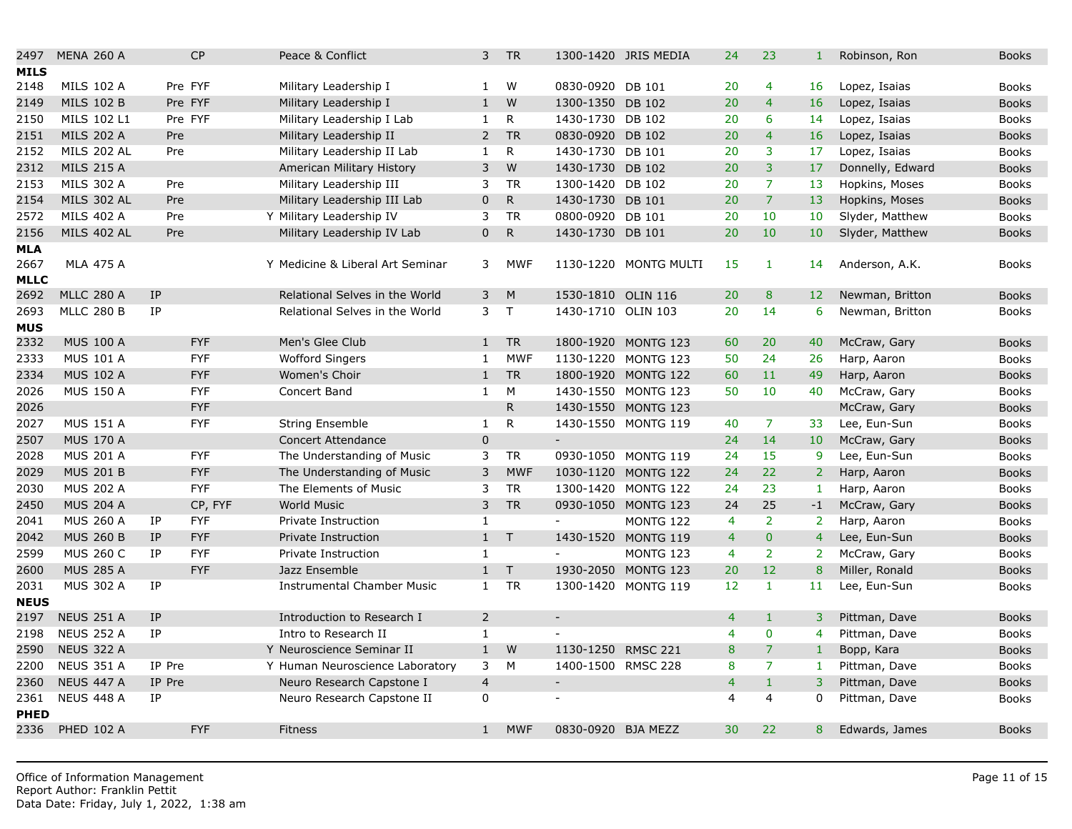| 2497                       | <b>MENA 260 A</b>  |           | CP         | Peace & Conflict                  | 3              | <b>TR</b>    |                          | 1300-1420 JRIS MEDIA  | 24             | 23             | $\mathbf{1}$    |
|----------------------------|--------------------|-----------|------------|-----------------------------------|----------------|--------------|--------------------------|-----------------------|----------------|----------------|-----------------|
| <b>MILS</b>                |                    |           |            |                                   |                |              |                          |                       |                |                |                 |
| 2148                       | <b>MILS 102 A</b>  |           | Pre FYF    | Military Leadership I             | 1              | W            | 0830-0920 DB 101         |                       | 20             | $\overline{4}$ | 16              |
| 2149                       | <b>MILS 102 B</b>  |           | Pre FYF    | Military Leadership I             | $\mathbf{1}$   | W            | 1300-1350 DB 102         |                       | 20             | $\overline{4}$ | 16              |
| 2150                       | MILS 102 L1        |           | Pre FYF    | Military Leadership I Lab         | $\mathbf{1}$   | R            | 1430-1730 DB 102         |                       | 20             | 6              | 14              |
| 2151                       | <b>MILS 202 A</b>  | Pre       |            | Military Leadership II            | $\overline{2}$ | <b>TR</b>    | 0830-0920                | <b>DB 102</b>         | 20             | $\overline{4}$ | 16              |
| 2152                       | <b>MILS 202 AL</b> | Pre       |            | Military Leadership II Lab        | $\mathbf{1}$   | R            | 1430-1730 DB 101         |                       | 20             | 3              | 17              |
| 2312                       | <b>MILS 215 A</b>  |           |            | American Military History         | 3              | W            | 1430-1730 DB 102         |                       | 20             | $\overline{3}$ | 17              |
| 2153                       | <b>MILS 302 A</b>  | Pre       |            | Military Leadership III           | 3              | <b>TR</b>    | 1300-1420 DB 102         |                       | 20             | $\overline{7}$ | 13              |
| 2154                       | <b>MILS 302 AL</b> | Pre       |            | Military Leadership III Lab       | 0              | $\mathsf{R}$ | 1430-1730 DB 101         |                       | 20             | $\overline{7}$ | 13              |
| 2572                       | <b>MILS 402 A</b>  | Pre       |            | Y Military Leadership IV          | 3              | <b>TR</b>    | 0800-0920 DB 101         |                       | 20             | 10             | 10              |
| 2156                       | <b>MILS 402 AL</b> | Pre       |            | Military Leadership IV Lab        | 0              | $\mathsf{R}$ | 1430-1730 DB 101         |                       | 20             | 10             | 10              |
| <b>MLA</b><br>2667<br>MLLC | <b>MLA 475 A</b>   |           |            | Y Medicine & Liberal Art Seminar  | 3              | <b>MWF</b>   |                          | 1130-1220 MONTG MULTI | 15             | $\mathbf{1}$   | 14              |
| 2692                       | <b>MLLC 280 A</b>  | <b>IP</b> |            | Relational Selves in the World    | 3              | M            | 1530-1810                | <b>OLIN 116</b>       | 20             | 8              | 12 <sup>2</sup> |
| 2693                       | <b>MLLC 280 B</b>  | IP        |            | Relational Selves in the World    | 3              | $\mathsf{T}$ | 1430-1710 OLIN 103       |                       | 20             | 14             | 6               |
| MUS                        |                    |           |            |                                   |                |              |                          |                       |                |                |                 |
| 2332                       | <b>MUS 100 A</b>   |           | <b>FYF</b> | Men's Glee Club                   | $\mathbf{1}$   | <b>TR</b>    |                          | 1800-1920 MONTG 123   | 60             | 20             | 40              |
| 2333                       | <b>MUS 101 A</b>   |           | <b>FYF</b> | <b>Wofford Singers</b>            | $\mathbf{1}$   | <b>MWF</b>   | 1130-1220                | MONTG 123             | 50             | 24             | 26              |
| 2334                       | <b>MUS 102 A</b>   |           | <b>FYF</b> | Women's Choir                     | $\mathbf{1}$   | <b>TR</b>    |                          | 1800-1920 MONTG 122   | 60             | 11             | 49              |
| 2026                       | <b>MUS 150 A</b>   |           | <b>FYF</b> | Concert Band                      | $\mathbf{1}$   | M            |                          | 1430-1550 MONTG 123   | 50             | 10             | 40              |
| 2026                       |                    |           | <b>FYF</b> |                                   |                | $\mathsf{R}$ |                          | 1430-1550 MONTG 123   |                |                |                 |
| 2027                       | <b>MUS 151 A</b>   |           | <b>FYF</b> | <b>String Ensemble</b>            | $\mathbf{1}$   | R            |                          | 1430-1550 MONTG 119   | 40             | $\overline{7}$ | 33              |
| 2507                       | <b>MUS 170 A</b>   |           |            | <b>Concert Attendance</b>         | $\overline{0}$ |              | $\equiv$                 |                       | 24             | 14             | 10              |
| 2028                       | <b>MUS 201 A</b>   |           | <b>FYF</b> | The Understanding of Music        | 3              | <b>TR</b>    |                          | 0930-1050 MONTG 119   | 24             | 15             | 9               |
| 2029                       | <b>MUS 201 B</b>   |           | <b>FYF</b> | The Understanding of Music        | 3              | <b>MWF</b>   |                          | 1030-1120 MONTG 122   | 24             | 22             | $\overline{2}$  |
| 2030                       | <b>MUS 202 A</b>   |           | <b>FYF</b> | The Elements of Music             | 3              | <b>TR</b>    |                          | 1300-1420 MONTG 122   | 24             | 23             | $\mathbf{1}$    |
| 2450                       | <b>MUS 204 A</b>   |           | CP, FYF    | <b>World Music</b>                | 3              | <b>TR</b>    |                          | 0930-1050 MONTG 123   | 24             | 25             | $-1$            |
| 2041                       | <b>MUS 260 A</b>   | IP        | <b>FYF</b> | Private Instruction               | $\mathbf{1}$   |              | $\equiv$                 | MONTG 122             | $\overline{4}$ | $\overline{2}$ | $\overline{2}$  |
| 2042                       | <b>MUS 260 B</b>   | IP        | <b>FYF</b> | Private Instruction               | $\mathbf{1}$   | $\top$       |                          | 1430-1520 MONTG 119   | $\overline{4}$ | $\mathbf{0}$   | $\overline{4}$  |
| 2599                       | <b>MUS 260 C</b>   | IP        | <b>FYF</b> | Private Instruction               | $\mathbf{1}$   |              | $\sim$                   | MONTG 123             | $\overline{4}$ | $\overline{2}$ | $\overline{2}$  |
| 2600                       | <b>MUS 285 A</b>   |           | <b>FYF</b> | Jazz Ensemble                     | $\mathbf{1}$   | $\top$       | 1930-2050                | MONTG 123             | 20             | 12             | 8               |
| 2031                       | <b>MUS 302 A</b>   | IP        |            | <b>Instrumental Chamber Music</b> | $\mathbf{1}$   | <b>TR</b>    |                          | 1300-1420 MONTG 119   | 12             | $\mathbf{1}$   | 11              |
| <b>NEUS</b>                |                    |           |            |                                   |                |              |                          |                       |                |                |                 |
| 2197                       | <b>NEUS 251 A</b>  | <b>IP</b> |            | Introduction to Research I        | $\overline{2}$ |              | $\overline{\phantom{a}}$ |                       | $\overline{4}$ | $\mathbf{1}$   | $\overline{3}$  |
| 2198                       | <b>NEUS 252 A</b>  | IP        |            | Intro to Research II              | $\mathbf{1}$   |              |                          |                       | $\overline{4}$ | $\mathbf 0$    | $\overline{4}$  |
| 2590                       | <b>NEUS 322 A</b>  |           |            | Y Neuroscience Seminar II         | 1              | W            | 1130-1250                | <b>RMSC 221</b>       | 8              | $\overline{7}$ | $\mathbf{1}$    |
| 2200                       | <b>NEUS 351 A</b>  | IP Pre    |            | Y Human Neuroscience Laboratory   | 3              | M            | 1400-1500 RMSC 228       |                       | 8              | $\overline{7}$ | 1               |
| 2360                       | <b>NEUS 447 A</b>  | IP Pre    |            | Neuro Research Capstone I         | $\overline{4}$ |              | $\overline{\phantom{a}}$ |                       | $\overline{4}$ | $\mathbf{1}$   | 3               |
| 2361                       | <b>NEUS 448 A</b>  | IP        |            | Neuro Research Capstone II        | 0              |              | ÷                        |                       | $\overline{4}$ | $\overline{4}$ | $\mathbf{0}$    |
| <b>PHED</b>                |                    |           |            |                                   |                |              |                          |                       |                |                |                 |
| 2336                       | <b>PHED 102 A</b>  |           | <b>FYF</b> | <b>Fitness</b>                    | 1              | <b>MWF</b>   | 0830-0920 BJA MEZZ       |                       | 30             | 22             | 8               |
|                            |                    |           |            |                                   |                |              |                          |                       |                |                |                 |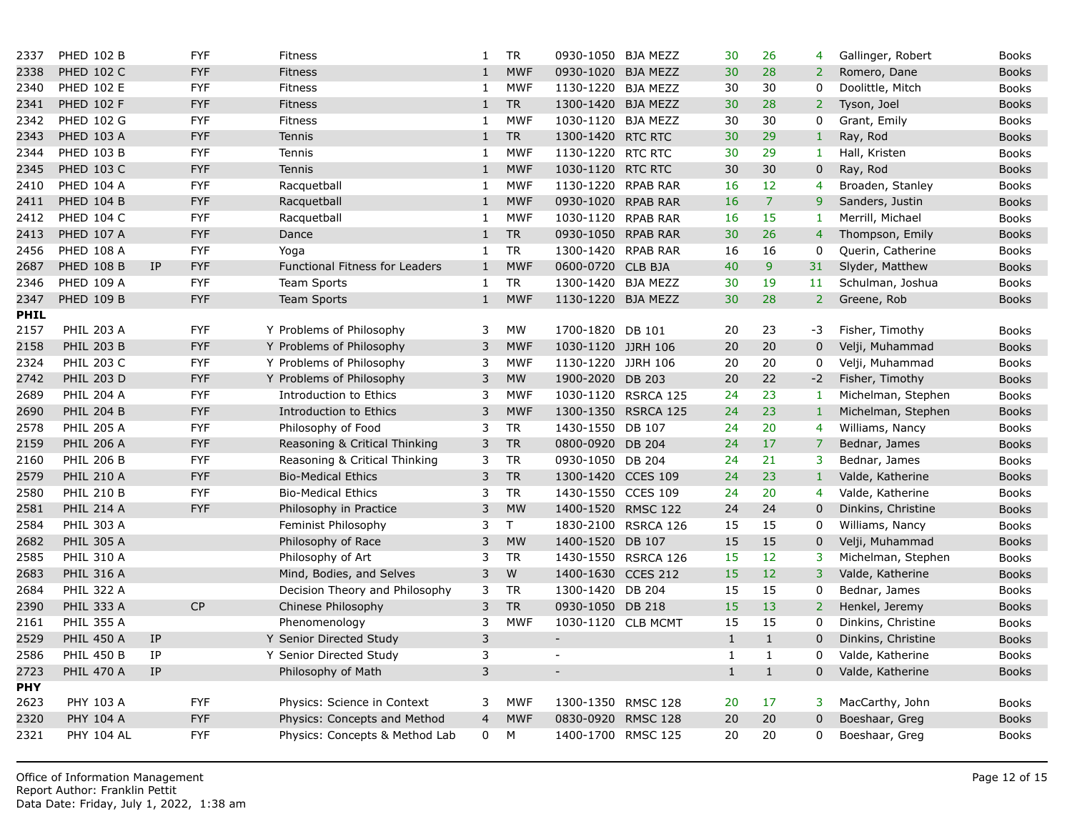| 2337        | <b>PHED 102 B</b> |                            | <b>FYF</b> | <b>Fitness</b>                        | 1              | <b>TR</b>  | 0930-1050 BJA MEZZ |                     | 30           | 26             | 4              |
|-------------|-------------------|----------------------------|------------|---------------------------------------|----------------|------------|--------------------|---------------------|--------------|----------------|----------------|
| 2338        | <b>PHED 102 C</b> |                            | <b>FYF</b> | <b>Fitness</b>                        | 1              | <b>MWF</b> | 0930-1020          | <b>BJA MEZZ</b>     | 30           | 28             | 2 <sup>1</sup> |
| 2340        | <b>PHED 102 E</b> |                            | <b>FYF</b> | <b>Fitness</b>                        | 1              | <b>MWF</b> | 1130-1220 BJA MEZZ |                     | 30           | 30             | 0              |
| 2341        | <b>PHED 102 F</b> |                            | <b>FYF</b> | <b>Fitness</b>                        | 1              | <b>TR</b>  | 1300-1420 BJA MEZZ |                     | 30           | 28             | $\overline{2}$ |
| 2342        | <b>PHED 102 G</b> |                            | <b>FYF</b> | <b>Fitness</b>                        | 1              | <b>MWF</b> | 1030-1120 BJA MEZZ |                     | 30           | 30             | 0              |
| 2343        | <b>PHED 103 A</b> |                            | <b>FYF</b> | <b>Tennis</b>                         | 1              | <b>TR</b>  | 1300-1420 RTC RTC  |                     | 30           | 29             | $\mathbf{1}$   |
| 2344        | <b>PHED 103 B</b> |                            | <b>FYF</b> | Tennis                                | 1              | <b>MWF</b> | 1130-1220 RTC RTC  |                     | 30           | 29             | 1              |
| 2345        | <b>PHED 103 C</b> |                            | <b>FYF</b> | <b>Tennis</b>                         | 1              | <b>MWF</b> | 1030-1120 RTC RTC  |                     | 30           | 30             | 0              |
| 2410        | <b>PHED 104 A</b> |                            | <b>FYF</b> | Racquetball                           | 1              | <b>MWF</b> | 1130-1220 RPAB RAR |                     | 16           | 12             | 4              |
| 2411        | <b>PHED 104 B</b> |                            | <b>FYF</b> | Racquetball                           | $\mathbf{1}$   | <b>MWF</b> | 0930-1020 RPAB RAR |                     | 16           | $\overline{7}$ | 9              |
| 2412        | <b>PHED 104 C</b> |                            | <b>FYF</b> | Racquetball                           | 1              | <b>MWF</b> | 1030-1120 RPAB RAR |                     | 16           | 15             | 1              |
| 2413        | <b>PHED 107 A</b> |                            | <b>FYF</b> | Dance                                 | $\mathbf{1}$   | <b>TR</b>  | 0930-1050 RPAB RAR |                     | 30           | 26             | $\overline{4}$ |
| 2456        | <b>PHED 108 A</b> |                            | <b>FYF</b> | Yoga                                  | 1              | <b>TR</b>  | 1300-1420 RPAB RAR |                     | 16           | 16             | 0              |
| 2687        | <b>PHED 108 B</b> | IP                         | <b>FYF</b> | <b>Functional Fitness for Leaders</b> | 1              | <b>MWF</b> | 0600-0720 CLB BJA  |                     | 40           | 9              | 31             |
| 2346        | <b>PHED 109 A</b> |                            | <b>FYF</b> | <b>Team Sports</b>                    | 1              | <b>TR</b>  | 1300-1420 BJA MEZZ |                     | 30           | 19             | 11             |
| 2347        | <b>PHED 109 B</b> |                            | <b>FYF</b> | <b>Team Sports</b>                    | 1              | <b>MWF</b> | 1130-1220 BJA MEZZ |                     | 30           | 28             | $\overline{2}$ |
| <b>PHIL</b> |                   |                            |            |                                       |                |            |                    |                     |              |                |                |
| 2157        | <b>PHIL 203 A</b> |                            | <b>FYF</b> | Y Problems of Philosophy              | 3              | MW         | 1700-1820 DB 101   |                     | 20           | 23             | $-3$           |
| 2158        | <b>PHIL 203 B</b> |                            | <b>FYF</b> | Y Problems of Philosophy              | 3              | <b>MWF</b> | 1030-1120 JJRH 106 |                     | 20           | 20             | $\mathbf 0$    |
| 2324        | <b>PHIL 203 C</b> |                            | <b>FYF</b> | Y Problems of Philosophy              | 3              | <b>MWF</b> | 1130-1220 JJRH 106 |                     | 20           | 20             | 0              |
| 2742        | <b>PHIL 203 D</b> |                            | <b>FYF</b> | Y Problems of Philosophy              | 3              | <b>MW</b>  | 1900-2020          | <b>DB 203</b>       | 20           | 22             | $-2$           |
| 2689        | <b>PHIL 204 A</b> |                            | <b>FYF</b> | Introduction to Ethics                | 3              | <b>MWF</b> |                    | 1030-1120 RSRCA 125 | 24           | 23             | 1              |
| 2690        | <b>PHIL 204 B</b> |                            | <b>FYF</b> | Introduction to Ethics                | 3              | <b>MWF</b> |                    | 1300-1350 RSRCA 125 | 24           | 23             | $\mathbf{1}$   |
| 2578        | <b>PHIL 205 A</b> |                            | <b>FYF</b> | Philosophy of Food                    | 3              | <b>TR</b>  | 1430-1550          | DB 107              | 24           | 20             | 4              |
| 2159        | <b>PHIL 206 A</b> |                            | <b>FYF</b> | Reasoning & Critical Thinking         | 3              | <b>TR</b>  | 0800-0920          | DB 204              | 24           | 17             | $\overline{7}$ |
| 2160        | <b>PHIL 206 B</b> |                            | <b>FYF</b> | Reasoning & Critical Thinking         | 3              | <b>TR</b>  | 0930-1050 DB 204   |                     | 24           | 21             | 3              |
| 2579        | <b>PHIL 210 A</b> |                            | <b>FYF</b> | <b>Bio-Medical Ethics</b>             | 3              | <b>TR</b>  | 1300-1420 CCES 109 |                     | 24           | 23             | $\mathbf{1}$   |
| 2580        | <b>PHIL 210 B</b> |                            | <b>FYF</b> | <b>Bio-Medical Ethics</b>             | 3              | <b>TR</b>  | 1430-1550 CCES 109 |                     | 24           | 20             | 4              |
| 2581        | <b>PHIL 214 A</b> |                            | <b>FYF</b> | Philosophy in Practice                | 3              | <b>MW</b>  | 1400-1520 RMSC 122 |                     | 24           | 24             | $\mathbf 0$    |
| 2584        | <b>PHIL 303 A</b> |                            |            | Feminist Philosophy                   | 3              | T          |                    | 1830-2100 RSRCA 126 | 15           | 15             | 0              |
| 2682        | <b>PHIL 305 A</b> |                            |            | Philosophy of Race                    | 3              | <b>MW</b>  | 1400-1520          | DB 107              | 15           | 15             | $\mathbf 0$    |
| 2585        | <b>PHIL 310 A</b> |                            |            | Philosophy of Art                     | 3              | <b>TR</b>  |                    | 1430-1550 RSRCA 126 | 15           | 12             | 3              |
| 2683        | <b>PHIL 316 A</b> |                            |            | Mind, Bodies, and Selves              | 3              | W          | 1400-1630          | <b>CCES 212</b>     | 15           | 12             | 3              |
| 2684        | <b>PHIL 322 A</b> |                            |            | Decision Theory and Philosophy        | 3              | <b>TR</b>  | 1300-1420 DB 204   |                     | 15           | 15             | 0              |
| 2390        | <b>PHIL 333 A</b> |                            | CP         | Chinese Philosophy                    | 3              | <b>TR</b>  | 0930-1050 DB 218   |                     | 15           | 13             | $\overline{2}$ |
| 2161        | <b>PHIL 355 A</b> |                            |            | Phenomenology                         | 3              | <b>MWF</b> | 1030-1120 CLB MCMT |                     | 15           | 15             | 0              |
| 2529        | <b>PHIL 450 A</b> | IP                         |            | Y Senior Directed Study               | 3              |            |                    |                     | $\mathbf{1}$ | $\mathbf{1}$   | 0              |
| 2586        | <b>PHIL 450 B</b> | IP                         |            | Y Senior Directed Study               | 3              |            |                    |                     | 1            | $\mathbf{1}$   | 0              |
| 2723        | <b>PHIL 470 A</b> | $\ensuremath{\mathsf{IP}}$ |            | Philosophy of Math                    | 3              |            |                    |                     | $\mathbf{1}$ | $\mathbf{1}$   | $\overline{0}$ |
| <b>PHY</b>  |                   |                            |            |                                       |                |            |                    |                     |              |                |                |
| 2623        | PHY 103 A         |                            | <b>FYF</b> | Physics: Science in Context           | 3              | <b>MWF</b> | 1300-1350 RMSC 128 |                     | 20           | 17             | 3              |
| 2320        | PHY 104 A         |                            | <b>FYF</b> | Physics: Concepts and Method          | $\overline{4}$ | <b>MWF</b> | 0830-0920 RMSC 128 |                     | 20           | 20             | $\overline{0}$ |
| 2321        | <b>PHY 104 AL</b> |                            | <b>FYF</b> | Physics: Concepts & Method Lab        | $\mathbf{0}$   | M          | 1400-1700 RMSC 125 |                     | 20           | 20             | 0              |
|             |                   |                            |            |                                       |                |            |                    |                     |              |                |                |
|             |                   |                            |            |                                       |                |            |                    |                     |              |                |                |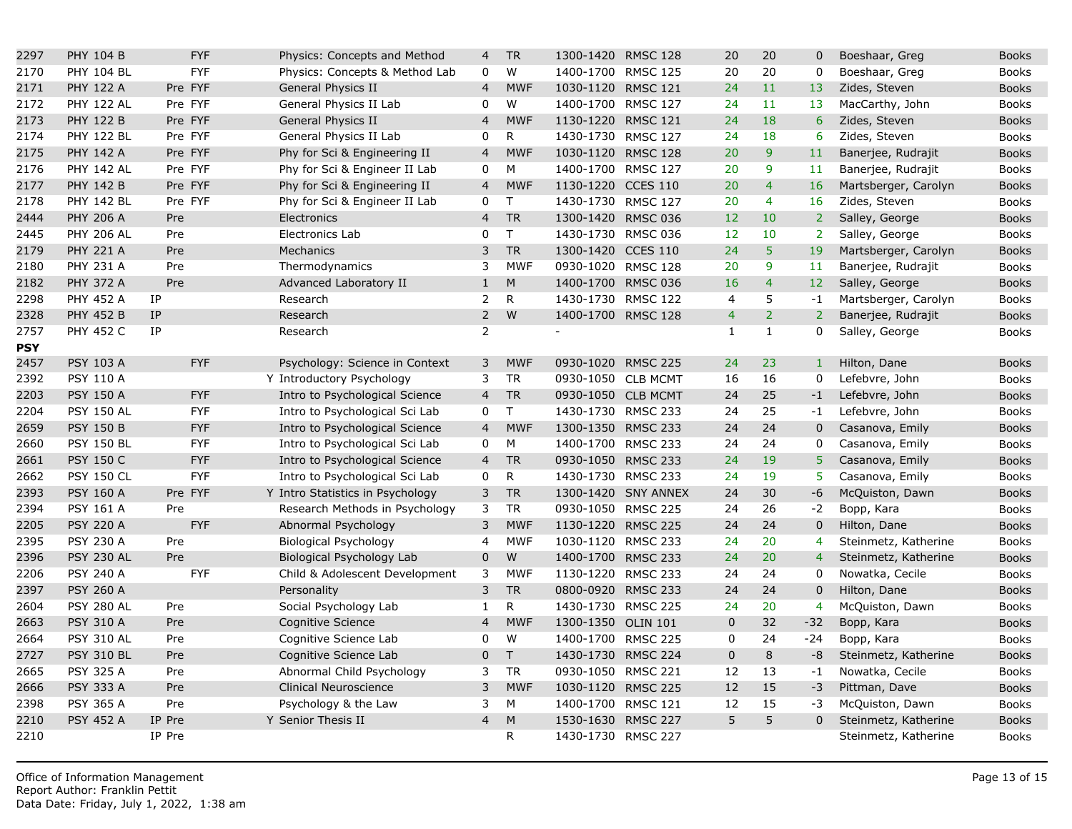| 2297       | PHY 104 B         | <b>FYF</b> | Physics: Concepts and Method     | 4              | <b>TR</b>      | 1300-1420 RMSC 128 |                     | 20             | 20             | 0               |
|------------|-------------------|------------|----------------------------------|----------------|----------------|--------------------|---------------------|----------------|----------------|-----------------|
| 2170       | <b>PHY 104 BL</b> | <b>FYF</b> | Physics: Concepts & Method Lab   | $\mathbf 0$    | $\overline{W}$ | 1400-1700 RMSC 125 |                     | 20             | 20             | $\mathbf 0$     |
| 2171       | <b>PHY 122 A</b>  | Pre FYF    | General Physics II               | $\overline{4}$ | <b>MWF</b>     | 1030-1120 RMSC 121 |                     | 24             | 11             | 13              |
| 2172       | <b>PHY 122 AL</b> | Pre FYF    | General Physics II Lab           | $\mathbf 0$    | W              | 1400-1700 RMSC 127 |                     | 24             | 11             | 13              |
| 2173       | <b>PHY 122 B</b>  | Pre FYF    | General Physics II               | $\overline{4}$ | <b>MWF</b>     | 1130-1220          | <b>RMSC 121</b>     | 24             | 18             | $6\overline{6}$ |
| 2174       | <b>PHY 122 BL</b> | Pre FYF    | General Physics II Lab           | 0              | R.             | 1430-1730 RMSC 127 |                     | 24             | 18             | 6               |
| 2175       | <b>PHY 142 A</b>  | Pre FYF    | Phy for Sci & Engineering II     | $\overline{4}$ | <b>MWF</b>     | 1030-1120          | <b>RMSC 128</b>     | 20             | 9              | 11              |
| 2176       | <b>PHY 142 AL</b> | Pre FYF    | Phy for Sci & Engineer II Lab    | 0              | M              | 1400-1700 RMSC 127 |                     | 20             | 9              | 11              |
| 2177       | <b>PHY 142 B</b>  | Pre FYF    | Phy for Sci & Engineering II     | $\overline{4}$ | <b>MWF</b>     | 1130-1220          | <b>CCES 110</b>     | 20             | $\overline{4}$ | 16              |
| 2178       | <b>PHY 142 BL</b> | Pre FYF    | Phy for Sci & Engineer II Lab    | 0              | $\mathsf{T}$   | 1430-1730 RMSC 127 |                     | 20             | $\overline{4}$ | 16              |
| 2444       | <b>PHY 206 A</b>  | Pre        | Electronics                      | $\overline{4}$ | <b>TR</b>      | 1300-1420 RMSC 036 |                     | 12             | 10             | $\overline{2}$  |
| 2445       | <b>PHY 206 AL</b> | Pre        | Electronics Lab                  | $\mathbf 0$    | T              | 1430-1730 RMSC 036 |                     | 12             | 10             | $\overline{2}$  |
| 2179       | <b>PHY 221 A</b>  | Pre        | Mechanics                        | 3              | <b>TR</b>      | 1300-1420 CCES 110 |                     | 24             | 5              | 19              |
| 2180       | <b>PHY 231 A</b>  | Pre        | Thermodynamics                   | 3              | <b>MWF</b>     | 0930-1020 RMSC 128 |                     | 20             | 9              | 11              |
| 2182       | <b>PHY 372 A</b>  | Pre        | Advanced Laboratory II           | $1\,$          | ${\sf M}$      | 1400-1700 RMSC 036 |                     | 16             | $\overline{4}$ | 12 <sub>2</sub> |
| 2298       | <b>PHY 452 A</b>  | IP         | Research                         | $\overline{2}$ | $\mathsf R$    | 1430-1730 RMSC 122 |                     | $\overline{4}$ | 5              | $-1$            |
| 2328       | <b>PHY 452 B</b>  | IP         | Research                         | $\overline{2}$ | W              | 1400-1700 RMSC 128 |                     | $\overline{4}$ | $\overline{2}$ | 2 <sup>1</sup>  |
| 2757       | <b>PHY 452 C</b>  | IP         | Research                         | 2              |                |                    |                     | 1              | $\mathbf{1}$   | $\Omega$        |
| <b>PSY</b> |                   |            |                                  |                |                |                    |                     |                |                |                 |
| 2457       | PSY 103 A         | <b>FYF</b> | Psychology: Science in Context   | 3              | <b>MWF</b>     | 0930-1020 RMSC 225 |                     | 24             | 23             | $1$ .           |
| 2392       | <b>PSY 110 A</b>  |            | Y Introductory Psychology        | 3              | <b>TR</b>      | 0930-1050 CLB MCMT |                     | 16             | 16             | $\mathbf 0$     |
| 2203       | <b>PSY 150 A</b>  | <b>FYF</b> | Intro to Psychological Science   | $\overline{4}$ | <b>TR</b>      | 0930-1050 CLB MCMT |                     | 24             | 25             | $-1$            |
| 2204       | <b>PSY 150 AL</b> | <b>FYF</b> | Intro to Psychological Sci Lab   | 0              | $\mathsf{T}$   | 1430-1730 RMSC 233 |                     | 24             | 25             | $-1$            |
| 2659       | <b>PSY 150 B</b>  | <b>FYF</b> | Intro to Psychological Science   | $\overline{4}$ | <b>MWF</b>     | 1300-1350 RMSC 233 |                     | 24             | 24             | $\mathbf 0$     |
| 2660       | <b>PSY 150 BL</b> | <b>FYF</b> | Intro to Psychological Sci Lab   | 0              | ${\sf M}$      | 1400-1700 RMSC 233 |                     | 24             | 24             | $\mathbf 0$     |
| 2661       | <b>PSY 150 C</b>  | <b>FYF</b> | Intro to Psychological Science   | $\overline{4}$ | <b>TR</b>      | 0930-1050 RMSC 233 |                     | 24             | 19             | 5               |
| 2662       | <b>PSY 150 CL</b> | <b>FYF</b> | Intro to Psychological Sci Lab   | 0              | ${\sf R}$      | 1430-1730 RMSC 233 |                     | 24             | 19             | 5               |
| 2393       | <b>PSY 160 A</b>  | Pre FYF    | Y Intro Statistics in Psychology | $\mathsf{3}$   | <b>TR</b>      |                    | 1300-1420 SNY ANNEX | 24             | 30             | $-6$            |
| 2394       | <b>PSY 161 A</b>  | Pre        | Research Methods in Psychology   | 3              | <b>TR</b>      | 0930-1050 RMSC 225 |                     | 24             | 26             | $-2$            |
| 2205       | <b>PSY 220 A</b>  | <b>FYF</b> | Abnormal Psychology              | 3              | <b>MWF</b>     | 1130-1220 RMSC 225 |                     | 24             | 24             | $\overline{0}$  |
| 2395       | <b>PSY 230 A</b>  | Pre        | Biological Psychology            | 4              | <b>MWF</b>     | 1030-1120 RMSC 233 |                     | 24             | 20             | $\overline{4}$  |
| 2396       | <b>PSY 230 AL</b> | Pre        | Biological Psychology Lab        | $\mathbf 0$    | W              | 1400-1700 RMSC 233 |                     | 24             | 20             | $\overline{4}$  |
| 2206       | <b>PSY 240 A</b>  | <b>FYF</b> | Child & Adolescent Development   | 3              | <b>MWF</b>     | 1130-1220 RMSC 233 |                     | 24             | 24             | $\mathbf 0$     |
| 2397       | <b>PSY 260 A</b>  |            | Personality                      | 3              | <b>TR</b>      | 0800-0920 RMSC 233 |                     | 24             | 24             | $\mathbf 0$     |
| 2604       | <b>PSY 280 AL</b> | Pre        | Social Psychology Lab            | $\mathbf{1}$   | ${\sf R}$      | 1430-1730 RMSC 225 |                     | 24             | 20             | $\overline{4}$  |
| 2663       | <b>PSY 310 A</b>  | Pre        | Cognitive Science                | $\overline{4}$ | <b>MWF</b>     | 1300-1350 OLIN 101 |                     | $\overline{0}$ | 32             | $-32$           |
| 2664       | <b>PSY 310 AL</b> | Pre        | Cognitive Science Lab            | $\pmb{0}$      | W              | 1400-1700 RMSC 225 |                     | 0              | 24             | $-24$           |
| 2727       | <b>PSY 310 BL</b> | Pre        | Cognitive Science Lab            | $\mathbf 0$    | $\mathsf{T}$   | 1430-1730 RMSC 224 |                     | $\mathbf{0}$   | 8              | $-8$            |
| 2665       | PSY 325 A         | Pre        | Abnormal Child Psychology        | 3              | <b>TR</b>      | 0930-1050 RMSC 221 |                     | 12             | 13             | $-1$            |
| 2666       | <b>PSY 333 A</b>  | Pre        | Clinical Neuroscience            | 3              | <b>MWF</b>     | 1030-1120 RMSC 225 |                     | 12             | 15             | $-3$            |
| 2398       | PSY 365 A         | Pre        | Psychology & the Law             | 3              | M              | 1400-1700 RMSC 121 |                     | 12             | 15             | $-3$            |
| 2210       | <b>PSY 452 A</b>  | IP Pre     | Y Senior Thesis II               | $\overline{4}$ | M              | 1530-1630          | <b>RMSC 227</b>     | 5              | 5              | $\overline{0}$  |
| 2210       |                   | IP Pre     |                                  |                | $\mathsf{R}$   | 1430-1730 RMSC 227 |                     |                |                |                 |
|            |                   |            |                                  |                |                |                    |                     |                |                |                 |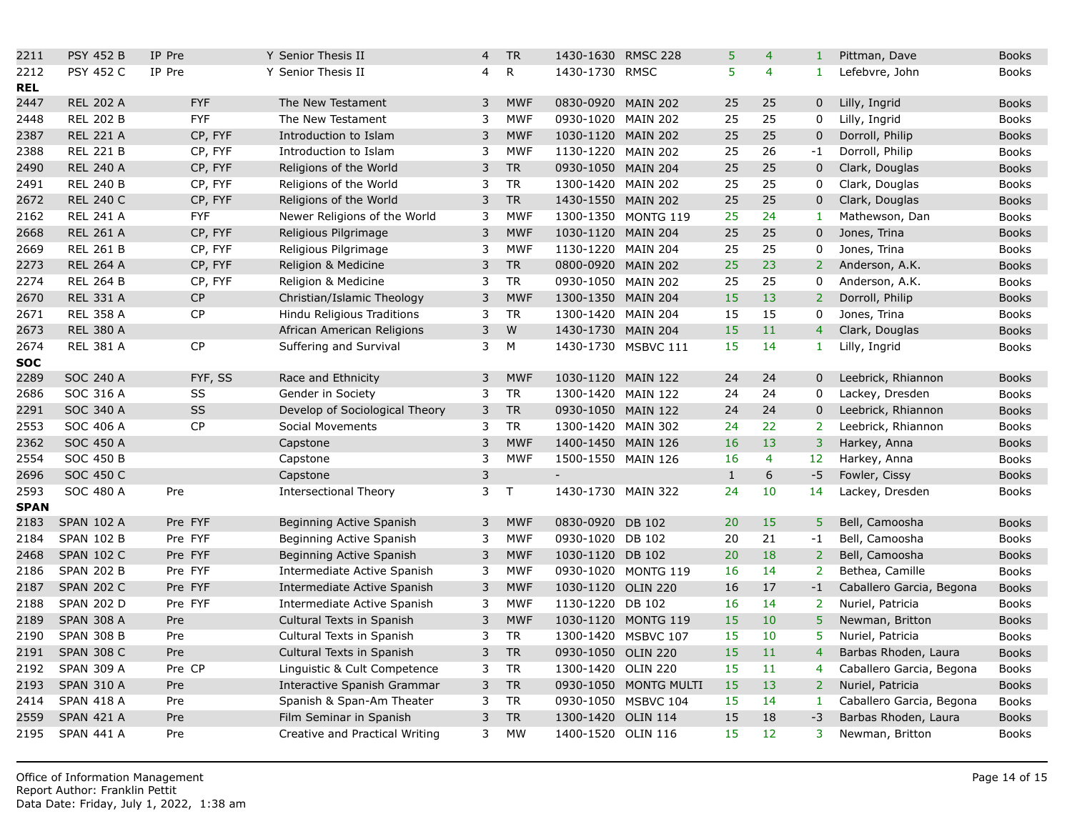| 2211        | <b>PSY 452 B</b>  | IP Pre     | Y Senior Thesis II             | 4            | <b>TR</b>    | 1430-1630 RMSC 228       |                       | 5            | 4              | $\mathbf{1}$   |
|-------------|-------------------|------------|--------------------------------|--------------|--------------|--------------------------|-----------------------|--------------|----------------|----------------|
| 2212        | <b>PSY 452 C</b>  | IP Pre     | Y Senior Thesis II             | 4            | $\mathsf{R}$ | 1430-1730 RMSC           |                       | 5            | $\overline{4}$ | $\mathbf{1}$   |
| <b>REL</b>  |                   |            |                                |              |              |                          |                       |              |                |                |
| 2447        | <b>REL 202 A</b>  | <b>FYF</b> | The New Testament              | 3            | <b>MWF</b>   | 0830-0920 MAIN 202       |                       | 25           | 25             | $\overline{0}$ |
| 2448        | <b>REL 202 B</b>  | <b>FYF</b> | The New Testament              | 3            | <b>MWF</b>   | 0930-1020 MAIN 202       |                       | 25           | 25             | $\mathbf 0$    |
| 2387        | <b>REL 221 A</b>  | CP, FYF    | Introduction to Islam          | 3            | <b>MWF</b>   | 1030-1120 MAIN 202       |                       | 25           | 25             | $\overline{0}$ |
| 2388        | <b>REL 221 B</b>  | CP, FYF    | Introduction to Islam          | 3            | <b>MWF</b>   | 1130-1220 MAIN 202       |                       | 25           | 26             | $-1$           |
| 2490        | <b>REL 240 A</b>  | CP, FYF    | Religions of the World         | 3            | <b>TR</b>    | 0930-1050 MAIN 204       |                       | 25           | 25             | $\mathbf 0$    |
| 2491        | <b>REL 240 B</b>  | CP, FYF    | Religions of the World         | 3            | <b>TR</b>    | 1300-1420 MAIN 202       |                       | 25           | 25             | $\mathbf 0$    |
| 2672        | <b>REL 240 C</b>  | CP, FYF    | Religions of the World         | 3            | <b>TR</b>    | 1430-1550 MAIN 202       |                       | 25           | 25             | $\overline{0}$ |
| 2162        | <b>REL 241 A</b>  | <b>FYF</b> | Newer Religions of the World   | 3            | <b>MWF</b>   | 1300-1350 MONTG 119      |                       | 25           | 24             | $\mathbf{1}$   |
| 2668        | <b>REL 261 A</b>  | CP, FYF    | Religious Pilgrimage           | 3            | <b>MWF</b>   | 1030-1120 MAIN 204       |                       | 25           | 25             | $\mathbf 0$    |
| 2669        | <b>REL 261 B</b>  | CP, FYF    | Religious Pilgrimage           | 3            | <b>MWF</b>   | 1130-1220 MAIN 204       |                       | 25           | 25             | $\mathbf 0$    |
| 2273        | <b>REL 264 A</b>  | CP, FYF    | Religion & Medicine            | $\mathsf{3}$ | <b>TR</b>    | 0800-0920 MAIN 202       |                       | 25           | 23             | $\overline{2}$ |
| 2274        | <b>REL 264 B</b>  | CP, FYF    | Religion & Medicine            | 3            | <b>TR</b>    | 0930-1050 MAIN 202       |                       | 25           | 25             | 0              |
| 2670        | <b>REL 331 A</b>  | CP         | Christian/Islamic Theology     | 3            | <b>MWF</b>   | 1300-1350 MAIN 204       |                       | 15           | 13             | 2 <sup>1</sup> |
| 2671        | <b>REL 358 A</b>  | <b>CP</b>  | Hindu Religious Traditions     | 3            | <b>TR</b>    | 1300-1420 MAIN 204       |                       | 15           | 15             | $\mathbf 0$    |
| 2673        | <b>REL 380 A</b>  |            | African American Religions     | 3            | W            | 1430-1730 MAIN 204       |                       | 15           | 11             | $\overline{4}$ |
| 2674        | <b>REL 381 A</b>  | <b>CP</b>  | Suffering and Survival         | 3            | M            | 1430-1730 MSBVC 111      |                       | 15           | 14             | $\mathbf{1}$   |
| <b>SOC</b>  |                   |            |                                |              |              |                          |                       |              |                |                |
| 2289        | <b>SOC 240 A</b>  | FYF, SS    | Race and Ethnicity             | 3            | <b>MWF</b>   | 1030-1120 MAIN 122       |                       | 24           | 24             | $\mathbf 0$    |
| 2686        | SOC 316 A         | SS         | Gender in Society              | 3            | <b>TR</b>    | 1300-1420 MAIN 122       |                       | 24           | 24             | $\overline{0}$ |
| 2291        | SOC 340 A         | <b>SS</b>  | Develop of Sociological Theory | 3            | <b>TR</b>    | 0930-1050 MAIN 122       |                       | 24           | 24             | $\mathbf 0$    |
| 2553        | SOC 406 A         | <b>CP</b>  | Social Movements               | 3            | <b>TR</b>    | 1300-1420 MAIN 302       |                       | 24           | 22             | 2 <sup>1</sup> |
| 2362        | <b>SOC 450 A</b>  |            | Capstone                       | 3            | <b>MWF</b>   | 1400-1450 MAIN 126       |                       | 16           | 13             | $\overline{3}$ |
| 2554        | <b>SOC 450 B</b>  |            | Capstone                       | 3            | <b>MWF</b>   | 1500-1550 MAIN 126       |                       | 16           | $\overline{4}$ | 12             |
| 2696        | SOC 450 C         |            | Capstone                       | $\mathsf{3}$ |              | $\overline{\phantom{a}}$ |                       | $\mathbf{1}$ | 6              | $-5$           |
| 2593        | SOC 480 A         | Pre        | <b>Intersectional Theory</b>   | 3            | $\mathsf{T}$ | 1430-1730 MAIN 322       |                       | 24           | 10             | 14             |
| <b>SPAN</b> |                   |            |                                |              |              |                          |                       |              |                |                |
| 2183        | <b>SPAN 102 A</b> | Pre FYF    | Beginning Active Spanish       | 3            | <b>MWF</b>   | 0830-0920 DB 102         |                       | 20           | 15             | 5 <sup>1</sup> |
| 2184        | <b>SPAN 102 B</b> | Pre FYF    | Beginning Active Spanish       | 3            | <b>MWF</b>   | 0930-1020 DB 102         |                       | 20           | 21             | $-1$           |
| 2468        | <b>SPAN 102 C</b> | Pre FYF    | Beginning Active Spanish       | 3            | <b>MWF</b>   | 1030-1120 DB 102         |                       | 20           | 18             | $\overline{2}$ |
| 2186        | <b>SPAN 202 B</b> | Pre FYF    | Intermediate Active Spanish    | 3            | <b>MWF</b>   | 0930-1020 MONTG 119      |                       | 16           | 14             | $\overline{2}$ |
| 2187        | <b>SPAN 202 C</b> | Pre FYF    | Intermediate Active Spanish    | 3            | <b>MWF</b>   | 1030-1120 OLIN 220       |                       | 16           | 17             | $-1$           |
| 2188        | <b>SPAN 202 D</b> | Pre FYF    | Intermediate Active Spanish    | 3            | <b>MWF</b>   | 1130-1220 DB 102         |                       | 16           | 14             | $\overline{2}$ |
| 2189        | <b>SPAN 308 A</b> | Pre        | Cultural Texts in Spanish      | 3            | <b>MWF</b>   | 1030-1120 MONTG 119      |                       | 15           | 10             | 5              |
| 2190        | <b>SPAN 308 B</b> | Pre        | Cultural Texts in Spanish      | 3            | <b>TR</b>    | 1300-1420 MSBVC 107      |                       | 15           | 10             | 5.             |
| 2191        | <b>SPAN 308 C</b> | Pre        | Cultural Texts in Spanish      | $\mathsf 3$  | <b>TR</b>    | 0930-1050 OLIN 220       |                       | 15           | 11             | $\overline{4}$ |
| 2192        | <b>SPAN 309 A</b> | Pre CP     | Linguistic & Cult Competence   | 3            | <b>TR</b>    | 1300-1420 OLIN 220       |                       | 15           | 11             | $\overline{4}$ |
| 2193        | <b>SPAN 310 A</b> | Pre        | Interactive Spanish Grammar    | 3            | <b>TR</b>    |                          | 0930-1050 MONTG MULTI | 15           | 13             | $\overline{2}$ |
| 2414        | <b>SPAN 418 A</b> | Pre        | Spanish & Span-Am Theater      | 3            | <b>TR</b>    | 0930-1050 MSBVC 104      |                       | 15           | 14             | $\mathbf{1}$   |
| 2559        | <b>SPAN 421 A</b> | Pre        | Film Seminar in Spanish        | 3            | <b>TR</b>    | 1300-1420 OLIN 114       |                       | 15           | 18             | $-3$           |
| 2195        | <b>SPAN 441 A</b> | Pre        | Creative and Practical Writing | 3            | <b>MW</b>    | 1400-1520 OLIN 116       |                       | 15           | 12             | 3 <sup>1</sup> |
|             |                   |            |                                |              |              |                          |                       |              |                |                |